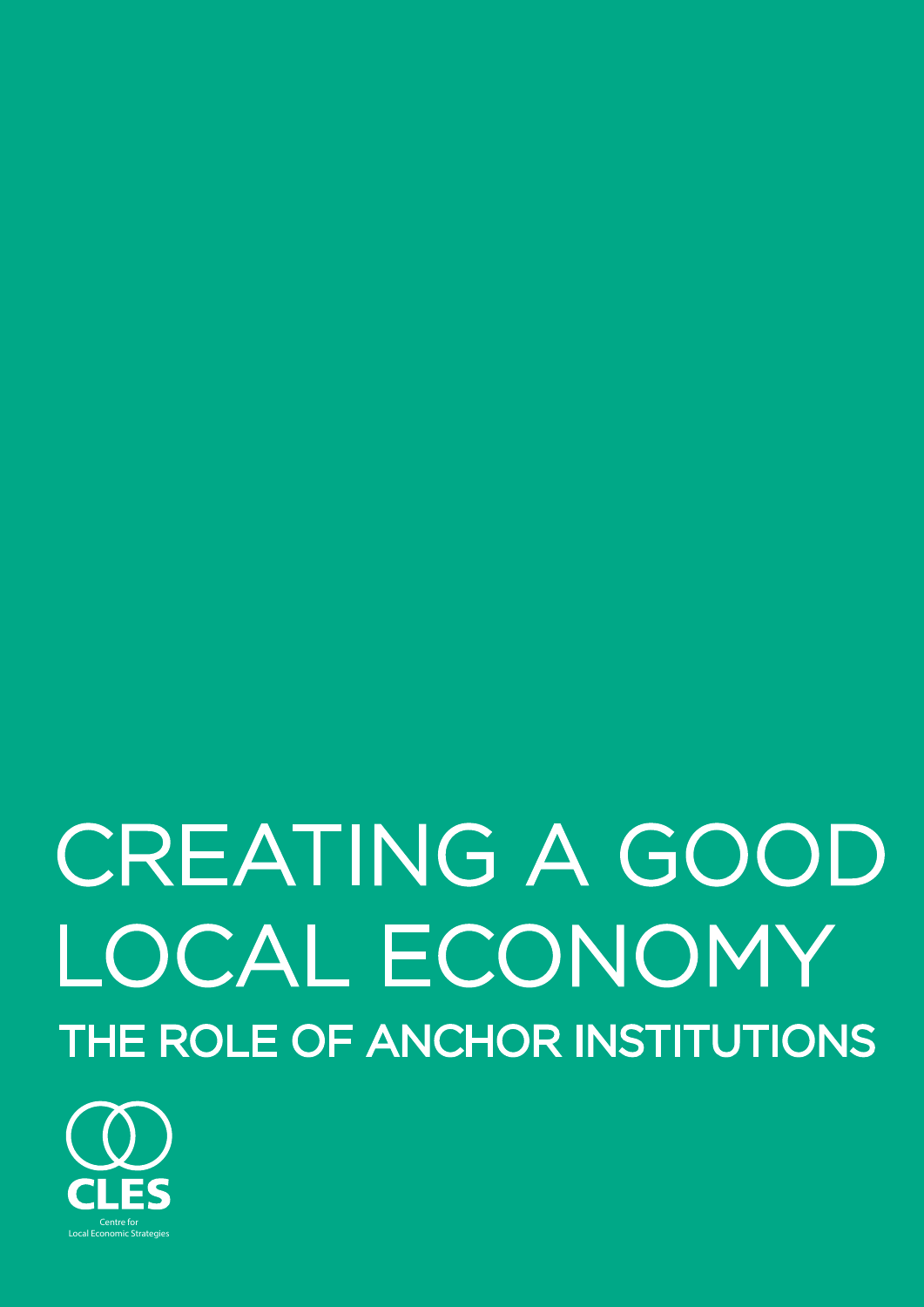# CREATING A GOOD LOCAL ECONOMY THE ROLE OF ANCHOR INSTITUTIONS

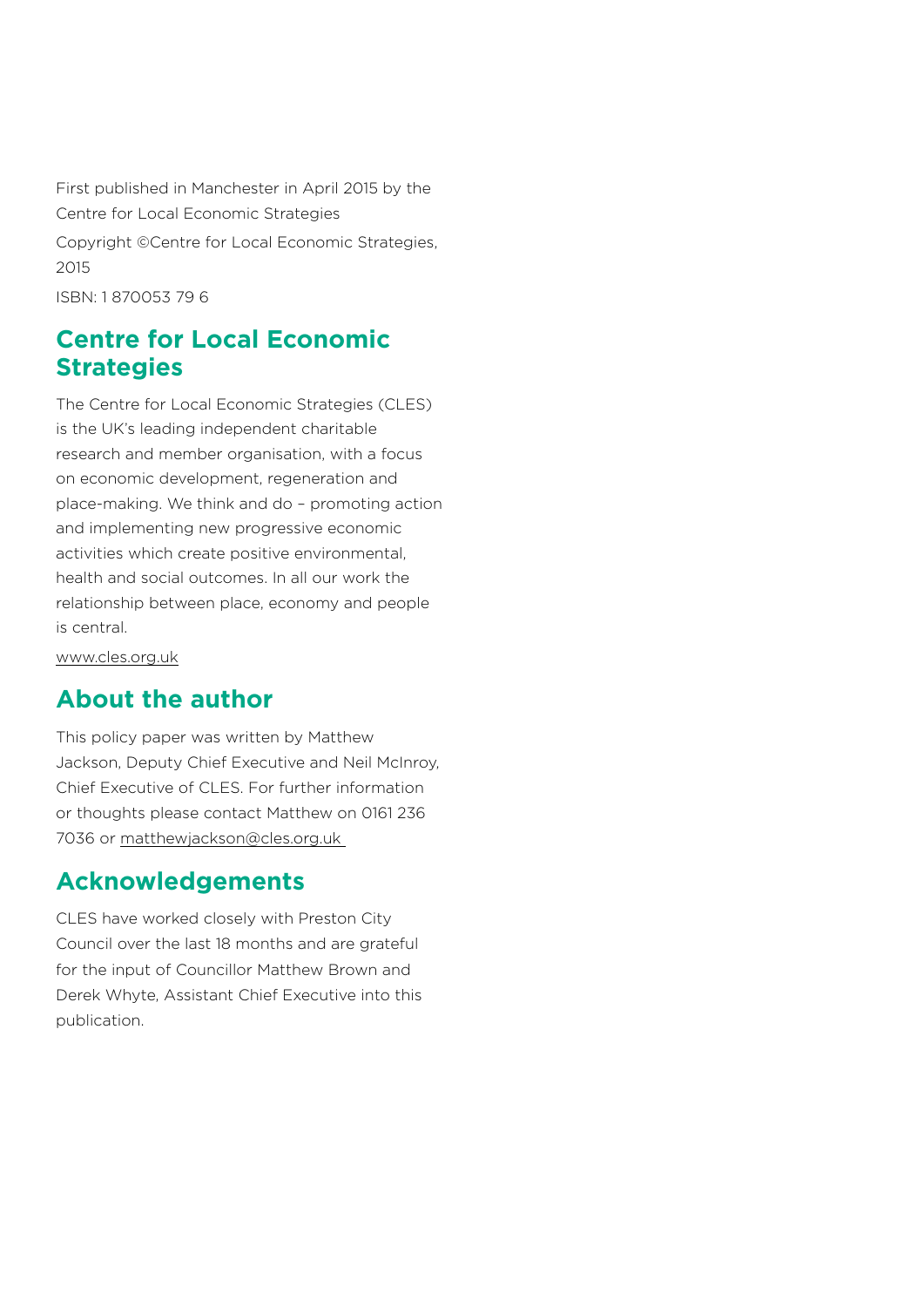First published in Manchester in April 2015 by the Centre for Local Economic Strategies

Copyright ©Centre for Local Economic Strategies, 2015

ISBN: 1 870053 79 6

## **Centre for Local Economic Strategies**

The Centre for Local Economic Strategies (CLES) is the UK's leading independent charitable research and member organisation, with a focus on economic development, regeneration and place-making. We think and do – promoting action and implementing new progressive economic activities which create positive environmental, health and social outcomes. In all our work the relationship between place, economy and people is central.

[www.cles.org.uk](http://www.cles.org.uk)

## **About the author**

This policy paper was written by Matthew Jackson, Deputy Chief Executive and Neil McInroy, Chief Executive of CLES. For further information or thoughts please contact Matthew on 0161 236 7036 or [matthewjackson@cles.org.uk](mailto:matthewjackson%40cles.org.uk?subject=) 

#### **Acknowledgements**

CLES have worked closely with Preston City Council over the last 18 months and are grateful for the input of Councillor Matthew Brown and Derek Whyte, Assistant Chief Executive into this publication.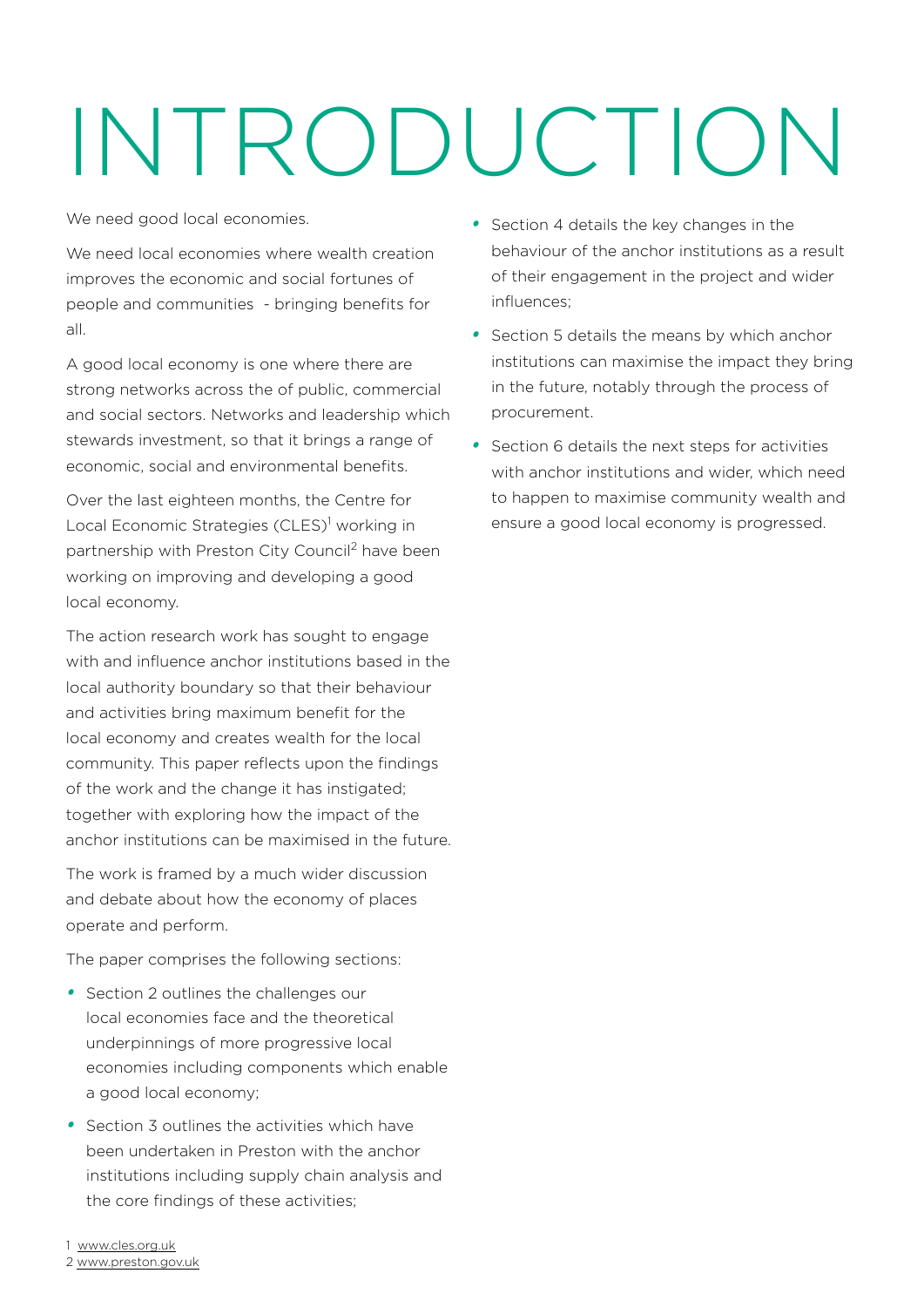# INTRODUCTION

We need good local economies.

We need local economies where wealth creation improves the economic and social fortunes of people and communities - bringing benefits for all.

A good local economy is one where there are strong networks across the of public, commercial and social sectors. Networks and leadership which stewards investment, so that it brings a range of economic, social and environmental benefits.

Over the last eighteen months, the Centre for Local Economic Strategies (CLES)<sup>1</sup> working in partnership with Preston City Council<sup>2</sup> have been working on improving and developing a good local economy.

The action research work has sought to engage with and influence anchor institutions based in the local authority boundary so that their behaviour and activities bring maximum benefit for the local economy and creates wealth for the local community. This paper reflects upon the findings of the work and the change it has instigated; together with exploring how the impact of the anchor institutions can be maximised in the future.

The work is framed by a much wider discussion and debate about how the economy of places operate and perform.

The paper comprises the following sections:

- *•*  Section 2 outlines the challenges our local economies face and the theoretical underpinnings of more progressive local economies including components which enable a good local economy;
- *•*  Section 3 outlines the activities which have been undertaken in Preston with the anchor institutions including supply chain analysis and the core findings of these activities;

*•*  Section 4 details the key changes in the behaviour of the anchor institutions as a result of their engagement in the project and wider influences;

- *•*  Section 5 details the means by which anchor institutions can maximise the impact they bring in the future, notably through the process of procurement.
- *•*  Section 6 details the next steps for activities with anchor institutions and wider, which need to happen to maximise community wealth and ensure a good local economy is progressed.

1 <www.cles.org.uk>

2 <www.preston.gov.uk>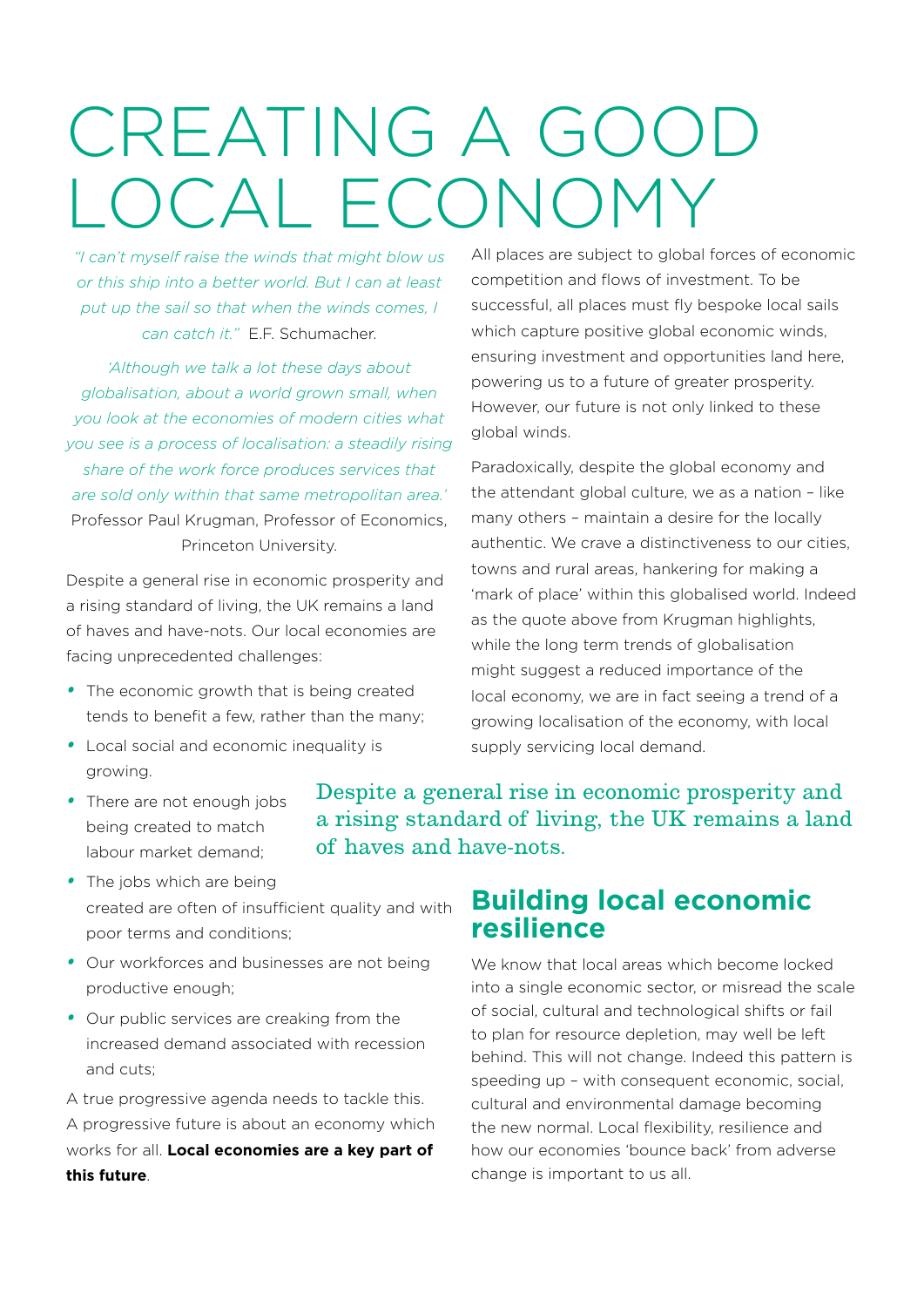# CREATING A GOOD OCAL ECON

*"I can't myself raise the winds that might blow us or this ship into a better world. But I can at least put up the sail so that when the winds comes, I can catch it."* E.F. Schumacher.

*'Although we talk a lot these days about globalisation, about a world grown small, when you look at the economies of modern cities what you see is a process of localisation: a steadily rising share of the work force produces services that are sold only within that same metropolitan area.'* Professor Paul Krugman, Professor of Economics, Princeton University.

Despite a general rise in economic prosperity and a rising standard of living, the UK remains a land of haves and have-nots. Our local economies are facing unprecedented challenges:

- *•*  The economic growth that is being created tends to benefit a few, rather than the many;
- *•*  Local social and economic inequality is growing.

All places are subject to global forces of economic competition and flows of investment. To be successful, all places must fly bespoke local sails which capture positive global economic winds, ensuring investment and opportunities land here, powering us to a future of greater prosperity. However, our future is not only linked to these global winds.

Paradoxically, despite the global economy and the attendant global culture, we as a nation – like many others – maintain a desire for the locally authentic. We crave a distinctiveness to our cities, towns and rural areas, hankering for making a 'mark of place' within this globalised world. Indeed as the quote above from Krugman highlights, while the long term trends of globalisation might suggest a reduced importance of the local economy, we are in fact seeing a trend of a growing localisation of the economy, with local supply servicing local demand.

• There are not enough jobs being created to match labour market demand;

Despite a general rise in economic prosperity and a rising standard of living, the UK remains a land of haves and have-nots.

- The jobs which are being created are often of insufficient quality and with poor terms and conditions;
- *•*  Our workforces and businesses are not being productive enough;
- *•*  Our public services are creaking from the increased demand associated with recession and cuts;

A true progressive agenda needs to tackle this. A progressive future is about an economy which works for all. **Local economies are a key part of this future**.

# **Building local economic resilience**

We know that local areas which become locked into a single economic sector, or misread the scale of social, cultural and technological shifts or fail to plan for resource depletion, may well be left behind. This will not change. Indeed this pattern is speeding up – with consequent economic, social, cultural and environmental damage becoming the new normal. Local flexibility, resilience and how our economies 'bounce back' from adverse change is important to us all.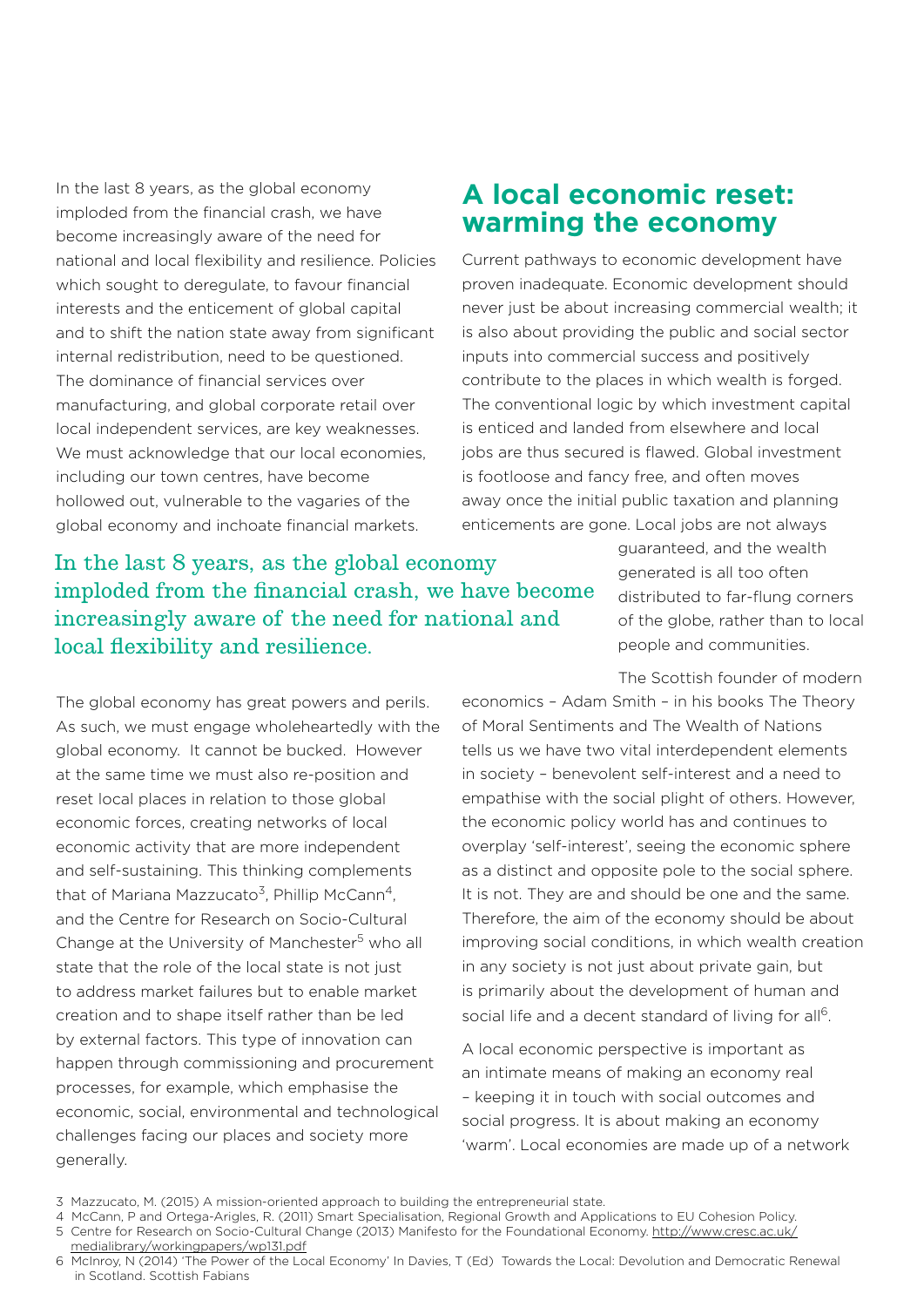In the last 8 years, as the global economy imploded from the financial crash, we have become increasingly aware of the need for national and local flexibility and resilience. Policies which sought to deregulate, to favour financial interests and the enticement of global capital and to shift the nation state away from significant internal redistribution, need to be questioned. The dominance of financial services over manufacturing, and global corporate retail over local independent services, are key weaknesses. We must acknowledge that our local economies. including our town centres, have become hollowed out, vulnerable to the vagaries of the global economy and inchoate financial markets.

### **A local economic reset: warming the economy**

Current pathways to economic development have proven inadequate. Economic development should never just be about increasing commercial wealth; it is also about providing the public and social sector inputs into commercial success and positively contribute to the places in which wealth is forged. The conventional logic by which investment capital is enticed and landed from elsewhere and local jobs are thus secured is flawed. Global investment is footloose and fancy free, and often moves away once the initial public taxation and planning enticements are gone. Local jobs are not always

#### In the last 8 years, as the global economy imploded from the financial crash, we have become increasingly aware of the need for national and local flexibility and resilience.

guaranteed, and the wealth generated is all too often distributed to far-flung corners of the globe, rather than to local people and communities.

The Scottish founder of modern

The global economy has great powers and perils. As such, we must engage wholeheartedly with the global economy. It cannot be bucked. However at the same time we must also re-position and reset local places in relation to those global economic forces, creating networks of local economic activity that are more independent and self-sustaining. This thinking complements that of Mariana Mazzucato<sup>3</sup>, Phillip McCann<sup>4</sup>, and the Centre for Research on Socio-Cultural Change at the University of Manchester<sup>5</sup> who all state that the role of the local state is not just to address market failures but to enable market creation and to shape itself rather than be led by external factors. This type of innovation can happen through commissioning and procurement processes, for example, which emphasise the economic, social, environmental and technological challenges facing our places and society more generally.

economics – Adam Smith – in his books The Theory of Moral Sentiments and The Wealth of Nations tells us we have two vital interdependent elements in society – benevolent self-interest and a need to empathise with the social plight of others. However, the economic policy world has and continues to overplay 'self-interest', seeing the economic sphere as a distinct and opposite pole to the social sphere. It is not. They are and should be one and the same. Therefore, the aim of the economy should be about improving social conditions, in which wealth creation in any society is not just about private gain, but is primarily about the development of human and social life and a decent standard of living for all<sup>6</sup>.

A local economic perspective is important as an intimate means of making an economy real – keeping it in touch with social outcomes and social progress. It is about making an economy 'warm'. Local economies are made up of a network

<sup>3</sup> Mazzucato, M. (2015) A mission-oriented approach to building the entrepreneurial state.

<sup>4</sup> McCann, P and Ortega-Arigles, R. (2011) Smart Specialisation, Regional Growth and Applications to EU Cohesion Policy. 5 Centre for Research on Socio-Cultural Change (2013) Manifesto for the Foundational Economy. [http://www.cresc.ac.uk/](http://www.cresc.ac.uk/medialibrary/workingpapers/wp131.pdf) [medialibrary/workingpapers/wp131.pdf](http://www.cresc.ac.uk/medialibrary/workingpapers/wp131.pdf)

<sup>6</sup> McInroy, N (2014) 'The Power of the Local Economy' In Davies, T (Ed) Towards the Local: Devolution and Democratic Renewal in Scotland. Scottish Fabians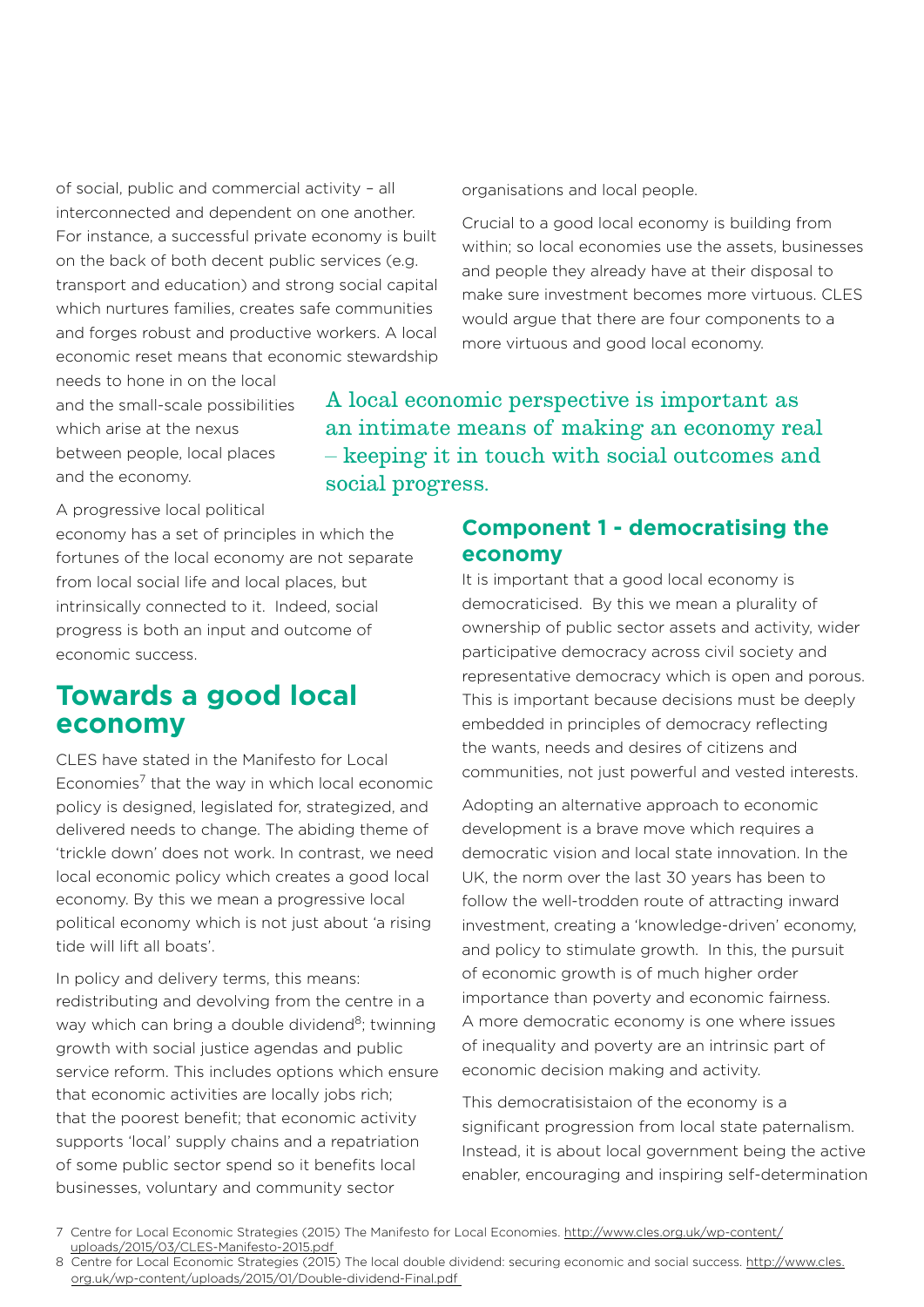of social, public and commercial activity – all interconnected and dependent on one another. For instance, a successful private economy is built on the back of both decent public services (e.g. transport and education) and strong social capital which nurtures families, creates safe communities and forges robust and productive workers. A local economic reset means that economic stewardship

needs to hone in on the local and the small-scale possibilities which arise at the nexus between people, local places and the economy.

organisations and local people.

Crucial to a good local economy is building from within; so local economies use the assets, businesses and people they already have at their disposal to make sure investment becomes more virtuous. CLES would argue that there are four components to a more virtuous and good local economy.

A local economic perspective is important as an intimate means of making an economy real – keeping it in touch with social outcomes and social progress.

A progressive local political

economy has a set of principles in which the fortunes of the local economy are not separate from local social life and local places, but intrinsically connected to it. Indeed, social progress is both an input and outcome of economic success.

### **Towards a good local economy**

CLES have stated in the Manifesto for Local Economies<sup>7</sup> that the way in which local economic policy is designed, legislated for, strategized, and delivered needs to change. The abiding theme of 'trickle down' does not work. In contrast, we need local economic policy which creates a good local economy. By this we mean a progressive local political economy which is not just about 'a rising tide will lift all boats'.

In policy and delivery terms, this means: redistributing and devolving from the centre in a way which can bring a double dividend<sup>8</sup>; twinning growth with social justice agendas and public service reform. This includes options which ensure that economic activities are locally jobs rich; that the poorest benefit; that economic activity supports 'local' supply chains and a repatriation of some public sector spend so it benefits local businesses, voluntary and community sector

#### **Component 1 - democratising the economy**

It is important that a good local economy is democraticised. By this we mean a plurality of ownership of public sector assets and activity, wider participative democracy across civil society and representative democracy which is open and porous. This is important because decisions must be deeply embedded in principles of democracy reflecting the wants, needs and desires of citizens and communities, not just powerful and vested interests.

Adopting an alternative approach to economic development is a brave move which requires a democratic vision and local state innovation. In the UK, the norm over the last 30 years has been to follow the well-trodden route of attracting inward investment, creating a 'knowledge-driven' economy, and policy to stimulate growth. In this, the pursuit of economic growth is of much higher order importance than poverty and economic fairness. A more democratic economy is one where issues of inequality and poverty are an intrinsic part of economic decision making and activity.

This democratisistaion of the economy is a significant progression from local state paternalism. Instead, it is about local government being the active enabler, encouraging and inspiring self-determination

<sup>7</sup> Centre for Local Economic Strategies (2015) The Manifesto for Local Economies. [http://www.cles.org.uk/wp-content/](http://www.cles.org.uk/wp-content/uploads/2015/03/CLES-Manifesto-2015.pdf%20) [uploads/2015/03/CLES-Manifesto-2015.pdf](http://www.cles.org.uk/wp-content/uploads/2015/03/CLES-Manifesto-2015.pdf%20) 

<sup>8</sup> Centre for Local Economic Strategies (2015) The local double dividend: securing economic and social success. [http://www.cles.](http://www.cles.org.uk/wp-content/uploads/2015/01/Double-dividend-Final.pdf%20) [org.uk/wp-content/uploads/2015/01/Double-dividend-Final.pdf](http://www.cles.org.uk/wp-content/uploads/2015/01/Double-dividend-Final.pdf%20)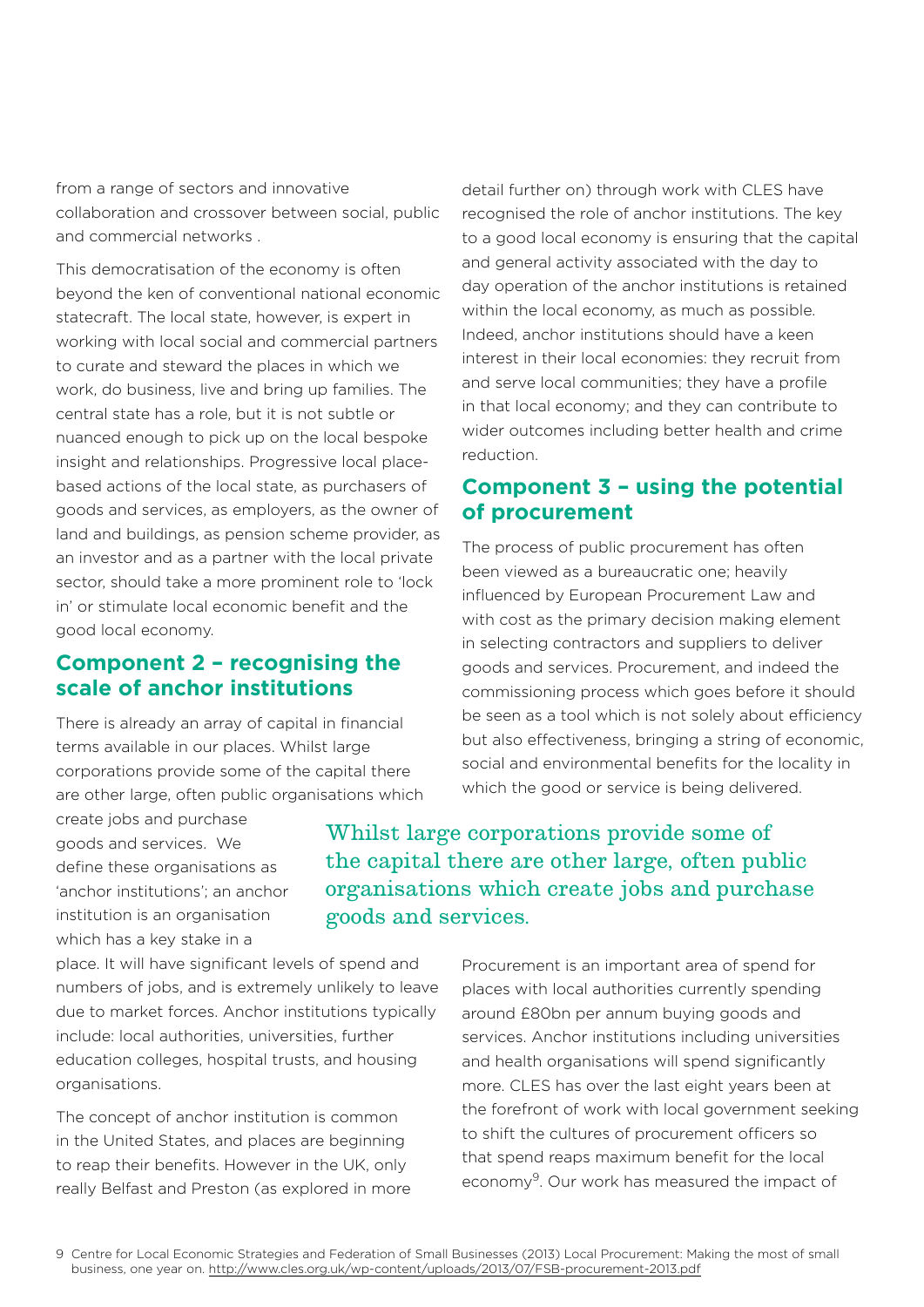from a range of sectors and innovative collaboration and crossover between social, public and commercial networks .

This democratisation of the economy is often beyond the ken of conventional national economic statecraft. The local state, however, is expert in working with local social and commercial partners to curate and steward the places in which we work, do business, live and bring up families. The central state has a role, but it is not subtle or nuanced enough to pick up on the local bespoke insight and relationships. Progressive local placebased actions of the local state, as purchasers of goods and services, as employers, as the owner of land and buildings, as pension scheme provider, as an investor and as a partner with the local private sector, should take a more prominent role to 'lock in' or stimulate local economic benefit and the good local economy.

#### **Component 2 – recognising the scale of anchor institutions**

There is already an array of capital in financial terms available in our places. Whilst large corporations provide some of the capital there are other large, often public organisations which

create jobs and purchase goods and services. We define these organisations as 'anchor institutions'; an anchor institution is an organisation which has a key stake in a

place. It will have significant levels of spend and numbers of jobs, and is extremely unlikely to leave due to market forces. Anchor institutions typically include: local authorities, universities, further education colleges, hospital trusts, and housing organisations.

The concept of anchor institution is common in the United States, and places are beginning to reap their benefits. However in the UK, only really Belfast and Preston (as explored in more detail further on) through work with CLES have recognised the role of anchor institutions. The key to a good local economy is ensuring that the capital and general activity associated with the day to day operation of the anchor institutions is retained within the local economy, as much as possible. Indeed, anchor institutions should have a keen interest in their local economies: they recruit from and serve local communities; they have a profile in that local economy; and they can contribute to wider outcomes including better health and crime reduction.

#### **Component 3 – using the potential of procurement**

The process of public procurement has often been viewed as a bureaucratic one; heavily influenced by European Procurement Law and with cost as the primary decision making element in selecting contractors and suppliers to deliver goods and services. Procurement, and indeed the commissioning process which goes before it should be seen as a tool which is not solely about efficiency but also effectiveness, bringing a string of economic, social and environmental benefits for the locality in which the good or service is being delivered.

Whilst large corporations provide some of the capital there are other large, often public organisations which create jobs and purchase goods and services.

> Procurement is an important area of spend for places with local authorities currently spending around £80bn per annum buying goods and services. Anchor institutions including universities and health organisations will spend significantly more. CLES has over the last eight years been at the forefront of work with local government seeking to shift the cultures of procurement officers so that spend reaps maximum benefit for the local economy9. Our work has measured the impact of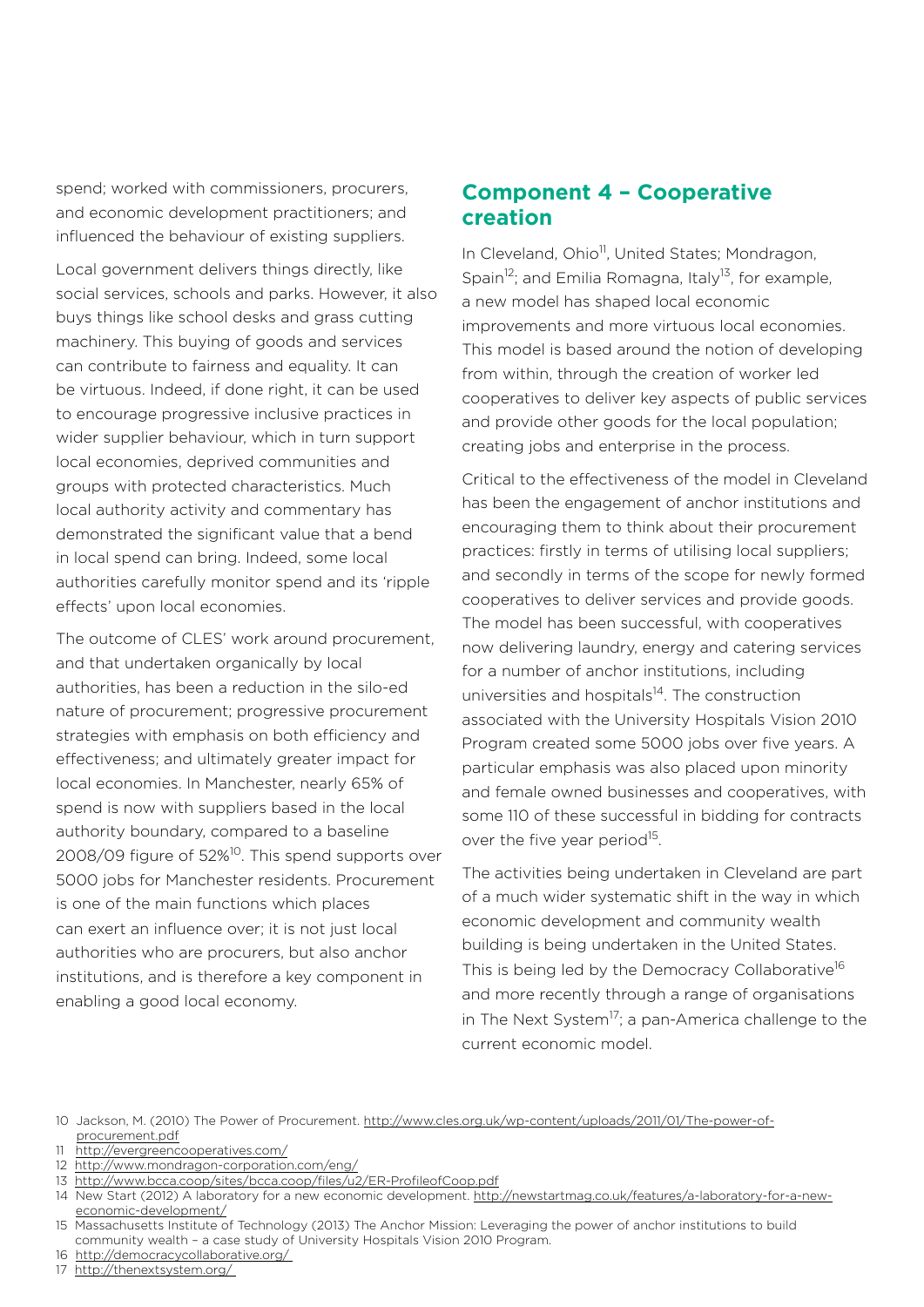spend; worked with commissioners, procurers, and economic development practitioners; and influenced the behaviour of existing suppliers.

Local government delivers things directly, like social services, schools and parks. However, it also buys things like school desks and grass cutting machinery. This buying of goods and services can contribute to fairness and equality. It can be virtuous. Indeed, if done right, it can be used to encourage progressive inclusive practices in wider supplier behaviour, which in turn support local economies, deprived communities and groups with protected characteristics. Much local authority activity and commentary has demonstrated the significant value that a bend in local spend can bring. Indeed, some local authorities carefully monitor spend and its 'ripple effects' upon local economies.

The outcome of CLES' work around procurement, and that undertaken organically by local authorities, has been a reduction in the silo-ed nature of procurement; progressive procurement strategies with emphasis on both efficiency and effectiveness; and ultimately greater impact for local economies. In Manchester, nearly 65% of spend is now with suppliers based in the local authority boundary, compared to a baseline 2008/09 figure of 52%<sup>10</sup>. This spend supports over 5000 jobs for Manchester residents. Procurement is one of the main functions which places can exert an influence over; it is not just local authorities who are procurers, but also anchor institutions, and is therefore a key component in enabling a good local economy.

#### **Component 4 – Cooperative creation**

In Cleveland, Ohio<sup>11</sup>, United States; Mondragon, Spain<sup>12</sup>; and Emilia Romagna, Italy<sup>13</sup>, for example, a new model has shaped local economic improvements and more virtuous local economies. This model is based around the notion of developing from within, through the creation of worker led cooperatives to deliver key aspects of public services and provide other goods for the local population; creating jobs and enterprise in the process.

Critical to the effectiveness of the model in Cleveland has been the engagement of anchor institutions and encouraging them to think about their procurement practices: firstly in terms of utilising local suppliers; and secondly in terms of the scope for newly formed cooperatives to deliver services and provide goods. The model has been successful, with cooperatives now delivering laundry, energy and catering services for a number of anchor institutions, including universities and hospitals<sup>14</sup>. The construction associated with the University Hospitals Vision 2010 Program created some 5000 jobs over five years. A particular emphasis was also placed upon minority and female owned businesses and cooperatives, with some 110 of these successful in bidding for contracts over the five year period<sup>15</sup>.

The activities being undertaken in Cleveland are part of a much wider systematic shift in the way in which economic development and community wealth building is being undertaken in the United States. This is being led by the Democracy Collaborative<sup>16</sup> and more recently through a range of organisations in The Next System<sup>17</sup>; a pan-America challenge to the current economic model.

10 Jackson, M. (2010) The Power of Procurement. [http://www.cles.org.uk/wp-content/uploads/2011/01/The-power-of](http://www.cles.org.uk/wp-content/uploads/2011/01/The-power-of-procurement.pdf)[procurement.pdf](http://www.cles.org.uk/wp-content/uploads/2011/01/The-power-of-procurement.pdf)

11 <http://evergreencooperatives.com/>

- 12 <http://www.mondragon-corporation.com/eng/>
- 13 <http://www.bcca.coop/sites/bcca.coop/files/u2/ER-ProfileofCoop.pdf>

- 16 <http://democracycollaborative.org/>
- 17 <http://thenextsystem.org/>

<sup>14</sup> New Start (2012) A laboratory for a new economic development. [http://newstartmag.co.uk/features/a-laboratory-for-a-new](http://newstartmag.co.uk/features/a-laboratory-for-a-new-economic-development/)[economic-development/](http://newstartmag.co.uk/features/a-laboratory-for-a-new-economic-development/)

<sup>15</sup> Massachusetts Institute of Technology (2013) The Anchor Mission: Leveraging the power of anchor institutions to build community wealth – a case study of University Hospitals Vision 2010 Program.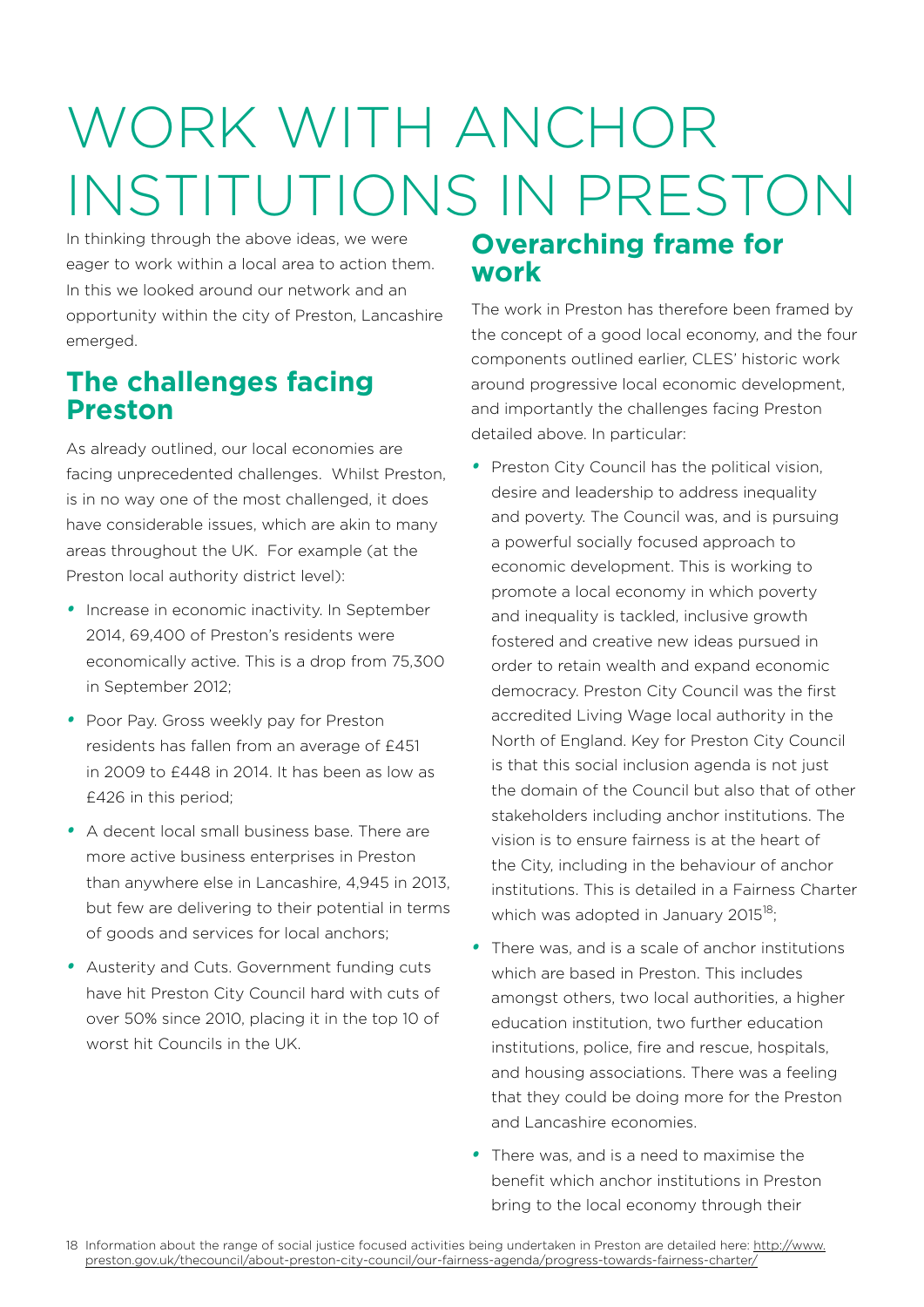# WORK WITH ANCHOR INSTITUTIONS IN PRESTON

In thinking through the above ideas, we were eager to work within a local area to action them. In this we looked around our network and an opportunity within the city of Preston, Lancashire emerged.

# **The challenges facing Preston**

As already outlined, our local economies are facing unprecedented challenges. Whilst Preston, is in no way one of the most challenged, it does have considerable issues, which are akin to many areas throughout the UK. For example (at the Preston local authority district level):

- **•** Increase in economic inactivity. In September 2014, 69,400 of Preston's residents were economically active. This is a drop from 75,300 in September 2012;
- *•*  Poor Pay. Gross weekly pay for Preston residents has fallen from an average of £451 in 2009 to £448 in 2014. It has been as low as £426 in this period;
- *•*  A decent local small business base. There are more active business enterprises in Preston than anywhere else in Lancashire, 4,945 in 2013, but few are delivering to their potential in terms of goods and services for local anchors;
- *•*  Austerity and Cuts. Government funding cuts have hit Preston City Council hard with cuts of over 50% since 2010, placing it in the top 10 of worst hit Councils in the UK.

# **Overarching frame for work**

The work in Preston has therefore been framed by the concept of a good local economy, and the four components outlined earlier, CLES' historic work around progressive local economic development, and importantly the challenges facing Preston detailed above. In particular:

- *•*  Preston City Council has the political vision, desire and leadership to address inequality and poverty. The Council was, and is pursuing a powerful socially focused approach to economic development. This is working to promote a local economy in which poverty and inequality is tackled, inclusive growth fostered and creative new ideas pursued in order to retain wealth and expand economic democracy. Preston City Council was the first accredited Living Wage local authority in the North of England. Key for Preston City Council is that this social inclusion agenda is not just the domain of the Council but also that of other stakeholders including anchor institutions. The vision is to ensure fairness is at the heart of the City, including in the behaviour of anchor institutions. This is detailed in a Fairness Charter which was adopted in January 2015<sup>18</sup>;
- *•*  There was, and is a scale of anchor institutions which are based in Preston. This includes amongst others, two local authorities, a higher education institution, two further education institutions, police, fire and rescue, hospitals, and housing associations. There was a feeling that they could be doing more for the Preston and Lancashire economies.
- *•*  There was, and is a need to maximise the benefit which anchor institutions in Preston bring to the local economy through their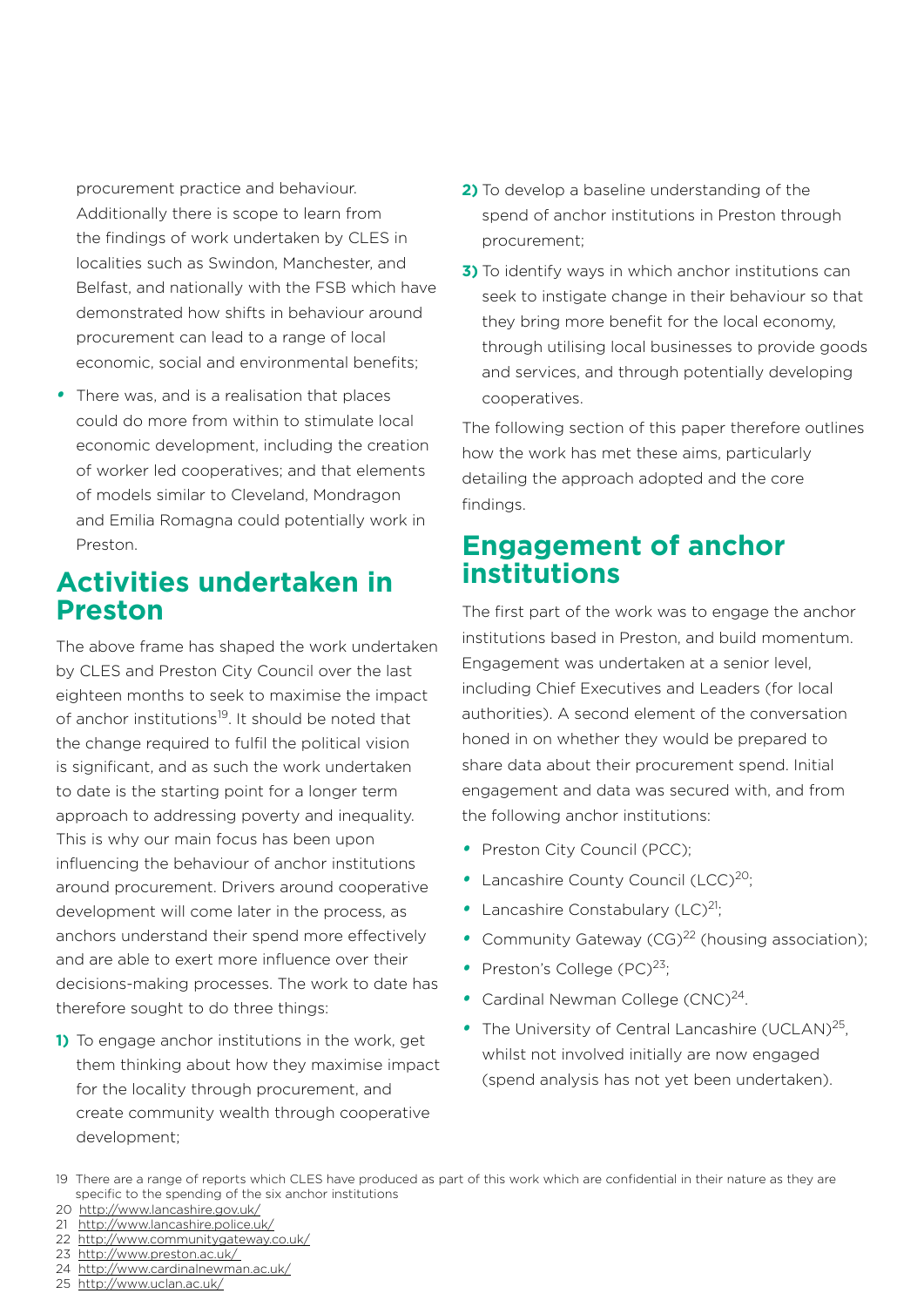procurement practice and behaviour. Additionally there is scope to learn from the findings of work undertaken by CLES in localities such as Swindon, Manchester, and Belfast, and nationally with the FSB which have demonstrated how shifts in behaviour around procurement can lead to a range of local economic, social and environmental benefits;

• There was, and is a realisation that places could do more from within to stimulate local economic development, including the creation of worker led cooperatives; and that elements of models similar to Cleveland, Mondragon and Emilia Romagna could potentially work in Preston.

# **Activities undertaken in Preston**

The above frame has shaped the work undertaken by CLES and Preston City Council over the last eighteen months to seek to maximise the impact of anchor institutions<sup>19</sup>. It should be noted that the change required to fulfil the political vision is significant, and as such the work undertaken to date is the starting point for a longer term approach to addressing poverty and inequality. This is why our main focus has been upon influencing the behaviour of anchor institutions around procurement. Drivers around cooperative development will come later in the process, as anchors understand their spend more effectively and are able to exert more influence over their decisions-making processes. The work to date has therefore sought to do three things:

**1)** To engage anchor institutions in the work, get them thinking about how they maximise impact for the locality through procurement, and create community wealth through cooperative development;

- **2)** To develop a baseline understanding of the spend of anchor institutions in Preston through procurement;
- **3)** To identify ways in which anchor institutions can seek to instigate change in their behaviour so that they bring more benefit for the local economy, through utilising local businesses to provide goods and services, and through potentially developing cooperatives.

The following section of this paper therefore outlines how the work has met these aims, particularly detailing the approach adopted and the core findings.

# **Engagement of anchor institutions**

The first part of the work was to engage the anchor institutions based in Preston, and build momentum. Engagement was undertaken at a senior level, including Chief Executives and Leaders (for local authorities). A second element of the conversation honed in on whether they would be prepared to share data about their procurement spend. Initial engagement and data was secured with, and from the following anchor institutions:

- *•*  Preston City Council (PCC);
- Lancashire County Council (LCC)<sup>20</sup>;
- Lancashire Constabulary (LC)<sup>21</sup>:
- Community Gateway (CG)<sup>22</sup> (housing association);
- Preston's College (PC)<sup>23</sup>;
- Cardinal Newman College (CNC)<sup>24</sup>.
- The University of Central Lancashire (UCLAN)<sup>25</sup>, whilst not involved initially are now engaged (spend analysis has not yet been undertaken).

22 [http://www.communitygateway.co.uk/](http://www.communitygateway.co.uk/%20)

- 24 <http://www.cardinalnewman.ac.uk/>
- 25 <http://www.uclan.ac.uk/>

<sup>19</sup> There are a range of reports which CLES have produced as part of this work which are confidential in their nature as they are specific to the spending of the six anchor institutions

<sup>20</sup> <http://www.lancashire.gov.uk/>

<sup>21</sup> [http://www.lancashire.police.uk/](http://www.lancashire.police.uk/%20)

<sup>23</sup> [http://www.preston.ac.uk/](http://www.preston.ac.uk/%20)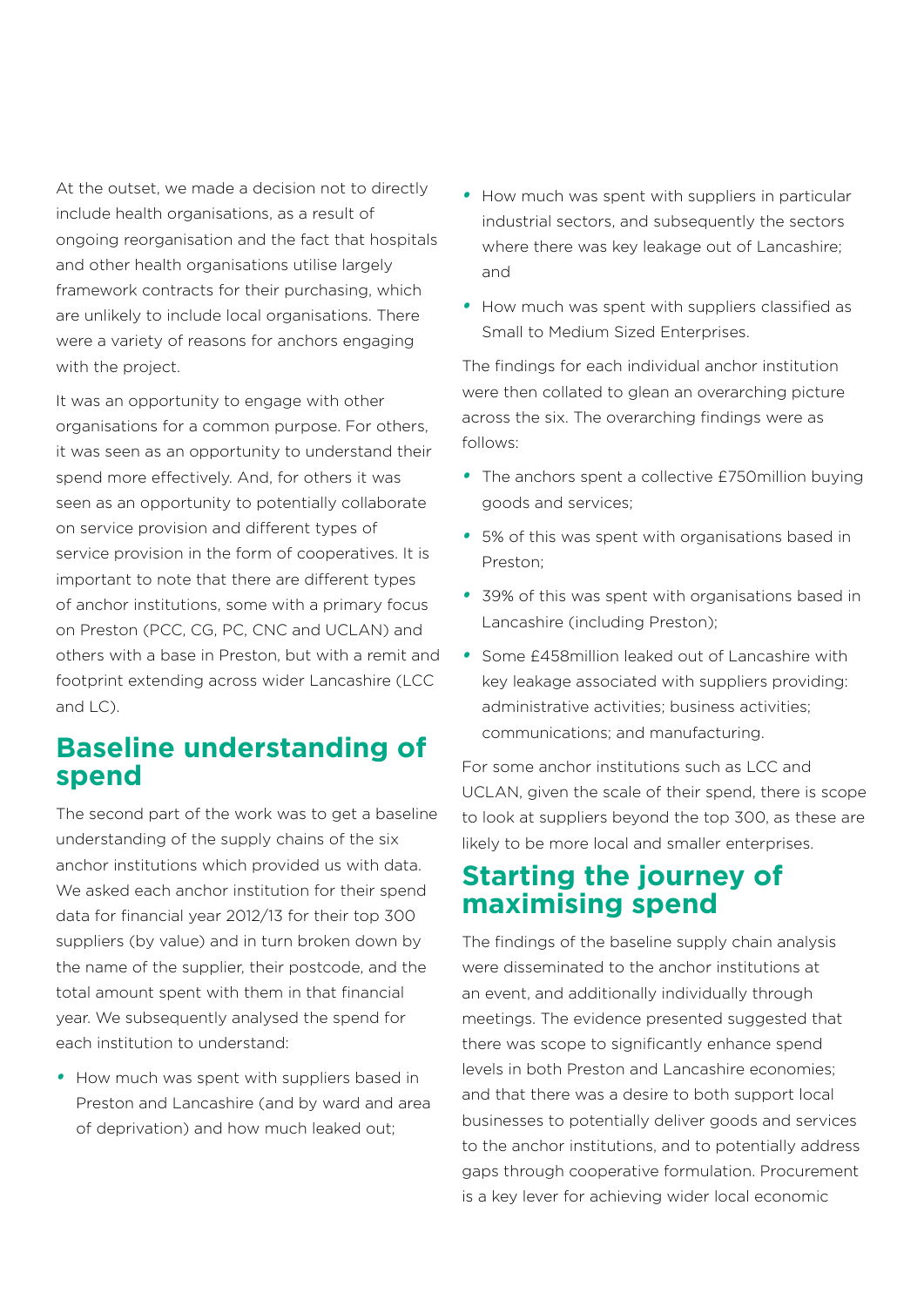At the outset, we made a decision not to directly include health organisations, as a result of ongoing reorganisation and the fact that hospitals and other health organisations utilise largely framework contracts for their purchasing, which are unlikely to include local organisations. There were a variety of reasons for anchors engaging with the project.

It was an opportunity to engage with other organisations for a common purpose. For others, it was seen as an opportunity to understand their spend more effectively. And, for others it was seen as an opportunity to potentially collaborate on service provision and different types of service provision in the form of cooperatives. It is important to note that there are different types of anchor institutions, some with a primary focus on Preston (PCC, CG, PC, CNC and UCLAN) and others with a base in Preston, but with a remit and footprint extending across wider Lancashire (LCC and LC).

# **Baseline understanding of spend**

The second part of the work was to get a baseline understanding of the supply chains of the six anchor institutions which provided us with data. We asked each anchor institution for their spend data for financial year 2012/13 for their top 300 suppliers (by value) and in turn broken down by the name of the supplier, their postcode, and the total amount spent with them in that financial year. We subsequently analysed the spend for each institution to understand:

*•*  How much was spent with suppliers based in Preston and Lancashire (and by ward and area of deprivation) and how much leaked out;

- *•*  How much was spent with suppliers in particular industrial sectors, and subsequently the sectors where there was key leakage out of Lancashire; and
- *•*  How much was spent with suppliers classified as Small to Medium Sized Enterprises.

The findings for each individual anchor institution were then collated to glean an overarching picture across the six. The overarching findings were as follows:

- The anchors spent a collective £750million buying goods and services;
- *•*  5% of this was spent with organisations based in Preston;
- *•*  39% of this was spent with organisations based in Lancashire (including Preston);
- *•*  Some £458million leaked out of Lancashire with key leakage associated with suppliers providing: administrative activities; business activities; communications; and manufacturing.

For some anchor institutions such as LCC and UCLAN, given the scale of their spend, there is scope to look at suppliers beyond the top 300, as these are likely to be more local and smaller enterprises.

# **Starting the journey of maximising spend**

The findings of the baseline supply chain analysis were disseminated to the anchor institutions at an event, and additionally individually through meetings. The evidence presented suggested that there was scope to significantly enhance spend levels in both Preston and Lancashire economies; and that there was a desire to both support local businesses to potentially deliver goods and services to the anchor institutions, and to potentially address gaps through cooperative formulation. Procurement is a key lever for achieving wider local economic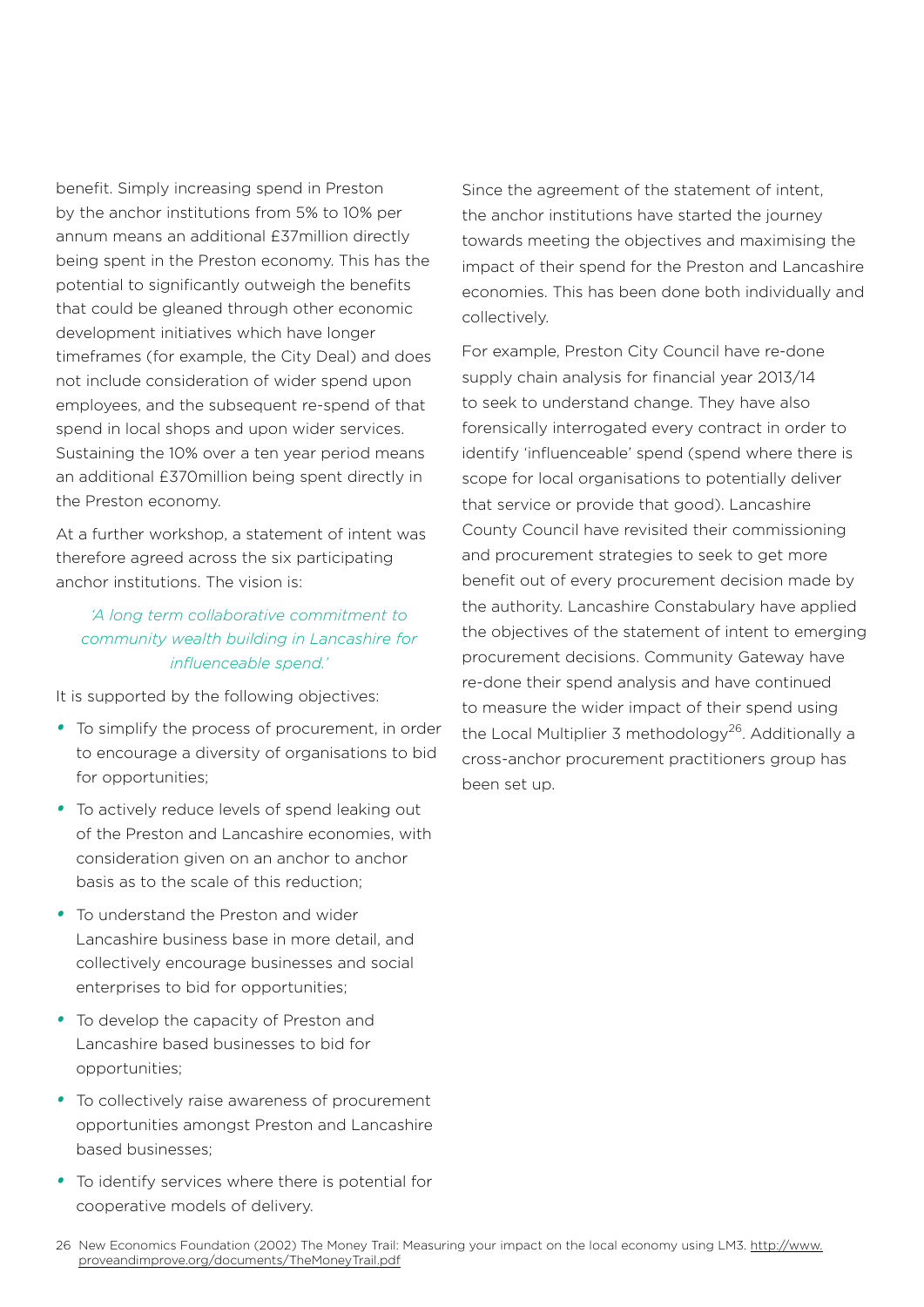benefit. Simply increasing spend in Preston by the anchor institutions from 5% to 10% per annum means an additional £37million directly being spent in the Preston economy. This has the potential to significantly outweigh the benefits that could be gleaned through other economic development initiatives which have longer timeframes (for example, the City Deal) and does not include consideration of wider spend upon employees, and the subsequent re-spend of that spend in local shops and upon wider services. Sustaining the 10% over a ten year period means an additional £370million being spent directly in the Preston economy.

At a further workshop, a statement of intent was therefore agreed across the six participating anchor institutions. The vision is:

#### *'A long term collaborative commitment to community wealth building in Lancashire for influenceable spend.'*

It is supported by the following objectives:

- *•*  To simplify the process of procurement, in order to encourage a diversity of organisations to bid for opportunities;
- To actively reduce levels of spend leaking out of the Preston and Lancashire economies, with consideration given on an anchor to anchor basis as to the scale of this reduction;
- *•*  To understand the Preston and wider Lancashire business base in more detail, and collectively encourage businesses and social enterprises to bid for opportunities;
- *•*  To develop the capacity of Preston and Lancashire based businesses to bid for opportunities;
- *•*  To collectively raise awareness of procurement opportunities amongst Preston and Lancashire based businesses;
- *•*  To identify services where there is potential for cooperative models of delivery.

Since the agreement of the statement of intent, the anchor institutions have started the journey towards meeting the objectives and maximising the impact of their spend for the Preston and Lancashire economies. This has been done both individually and collectively.

For example, Preston City Council have re-done supply chain analysis for financial year 2013/14 to seek to understand change. They have also forensically interrogated every contract in order to identify 'influenceable' spend (spend where there is scope for local organisations to potentially deliver that service or provide that good). Lancashire County Council have revisited their commissioning and procurement strategies to seek to get more benefit out of every procurement decision made by the authority. Lancashire Constabulary have applied the objectives of the statement of intent to emerging procurement decisions. Community Gateway have re-done their spend analysis and have continued to measure the wider impact of their spend using the Local Multiplier 3 methodology<sup>26</sup>. Additionally a cross-anchor procurement practitioners group has been set up.

<sup>26</sup> New Economics Foundation (2002) The Money Trail: Measuring your impact on the local economy using LM3. [http://www.](http://www.proveandimprove.org/documents/TheMoneyTrail.pdf) [proveandimprove.org/documents/TheMoneyTrail.pdf](http://www.proveandimprove.org/documents/TheMoneyTrail.pdf)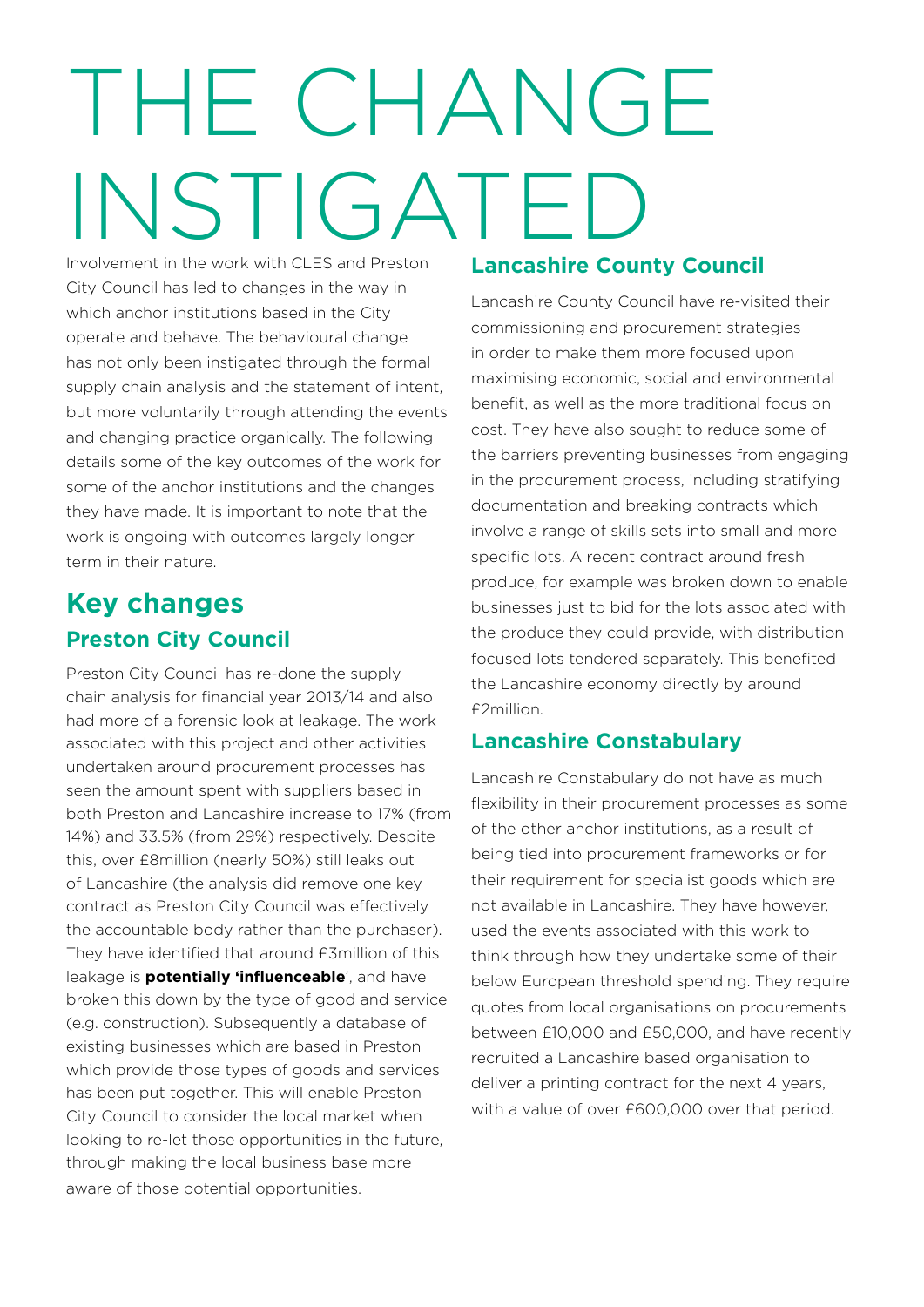# THE CHANGE INSTIGATED

Involvement in the work with CLES and Preston City Council has led to changes in the way in which anchor institutions based in the City operate and behave. The behavioural change has not only been instigated through the formal supply chain analysis and the statement of intent, but more voluntarily through attending the events and changing practice organically. The following details some of the key outcomes of the work for some of the anchor institutions and the changes they have made. It is important to note that the work is ongoing with outcomes largely longer term in their nature.

# **Key changes Preston City Council**

Preston City Council has re-done the supply chain analysis for financial year 2013/14 and also had more of a forensic look at leakage. The work associated with this project and other activities undertaken around procurement processes has seen the amount spent with suppliers based in both Preston and Lancashire increase to 17% (from 14%) and 33.5% (from 29%) respectively. Despite this, over £8million (nearly 50%) still leaks out of Lancashire (the analysis did remove one key contract as Preston City Council was effectively the accountable body rather than the purchaser). They have identified that around £3million of this leakage is **potentially 'influenceable**', and have broken this down by the type of good and service (e.g. construction). Subsequently a database of existing businesses which are based in Preston which provide those types of goods and services has been put together. This will enable Preston City Council to consider the local market when looking to re-let those opportunities in the future, through making the local business base more aware of those potential opportunities.

#### **Lancashire County Council**

Lancashire County Council have re-visited their commissioning and procurement strategies in order to make them more focused upon maximising economic, social and environmental benefit, as well as the more traditional focus on cost. They have also sought to reduce some of the barriers preventing businesses from engaging in the procurement process, including stratifying documentation and breaking contracts which involve a range of skills sets into small and more specific lots. A recent contract around fresh produce, for example was broken down to enable businesses just to bid for the lots associated with the produce they could provide, with distribution focused lots tendered separately. This benefited the Lancashire economy directly by around £2million.

#### **Lancashire Constabulary**

Lancashire Constabulary do not have as much flexibility in their procurement processes as some of the other anchor institutions, as a result of being tied into procurement frameworks or for their requirement for specialist goods which are not available in Lancashire. They have however, used the events associated with this work to think through how they undertake some of their below European threshold spending. They require quotes from local organisations on procurements between £10,000 and £50,000, and have recently recruited a Lancashire based organisation to deliver a printing contract for the next 4 years, with a value of over £600,000 over that period.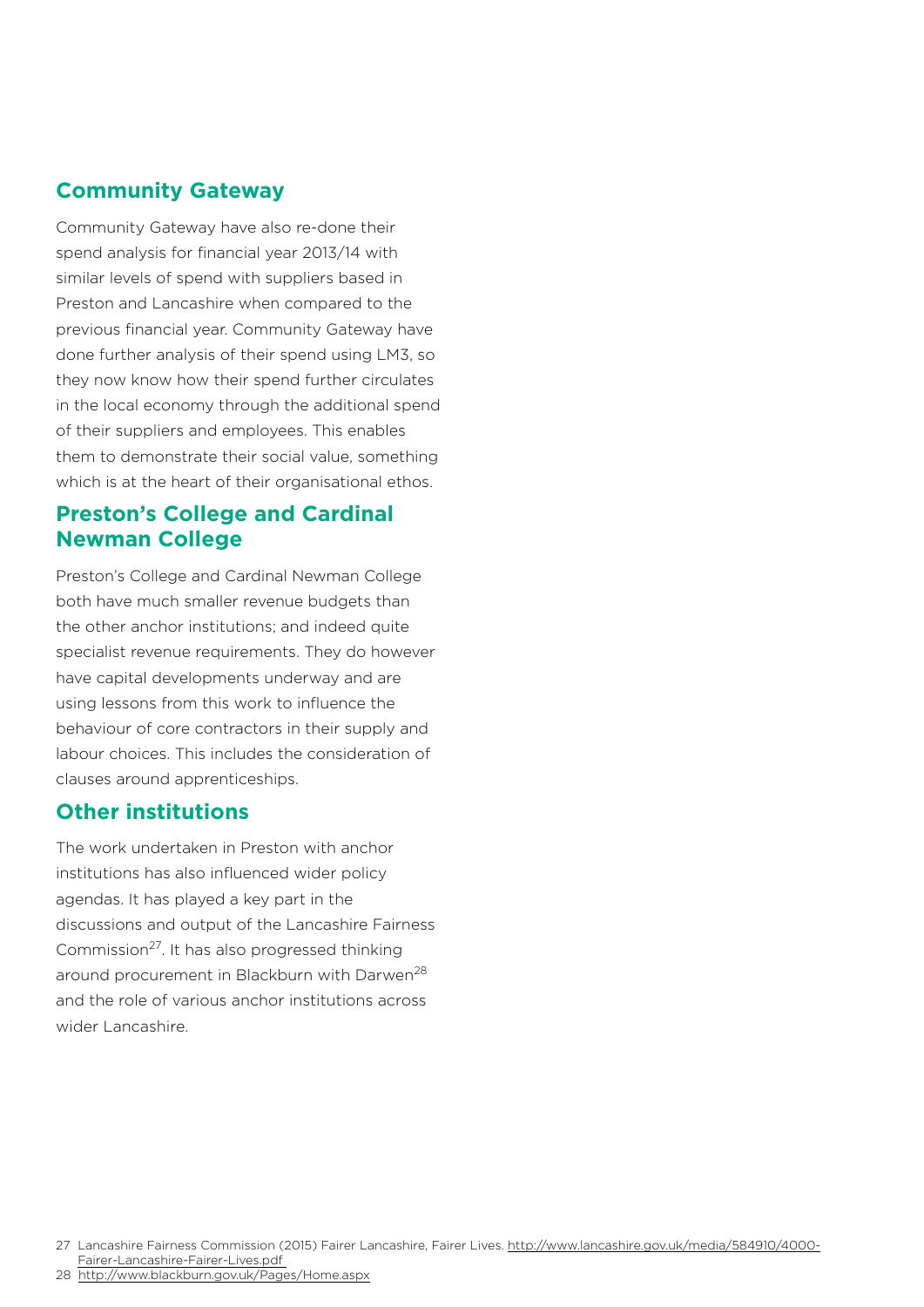#### **Community Gateway**

Community Gateway have also re-done their spend analysis for financial year 2013/14 with similar levels of spend with suppliers based in Preston and Lancashire when compared to the previous financial year. Community Gateway have done further analysis of their spend using LM3, so they now know how their spend further circulates in the local economy through the additional spend of their suppliers and employees. This enables them to demonstrate their social value, something which is at the heart of their organisational ethos.

#### **Preston's College and Cardinal Newman College**

Preston's College and Cardinal Newman College both have much smaller revenue budgets than the other anchor institutions; and indeed quite specialist revenue requirements. They do however have capital developments underway and are using lessons from this work to influence the behaviour of core contractors in their supply and labour choices. This includes the consideration of clauses around apprenticeships.

#### **Other institutions**

The work undertaken in Preston with anchor institutions has also influenced wider policy agendas. It has played a key part in the discussions and output of the Lancashire Fairness Commission27. It has also progressed thinking around procurement in Blackburn with Darwen<sup>28</sup> and the role of various anchor institutions across wider Lancashire.

27 Lancashire Fairness Commission (2015) Fairer Lancashire, Fairer Lives. http://www.lancashire.gov.uk/media/584910/4000-Fairer-Lancashire-Fairer-Lives.pd[f](http://www.lancashire.gov.uk/media/584910/4000-Fairer-Lancashire-Fairer-Lives.pdf%20%0D) 

<sup>28</sup> <http://www.blackburn.gov.uk/Pages/Home.aspx>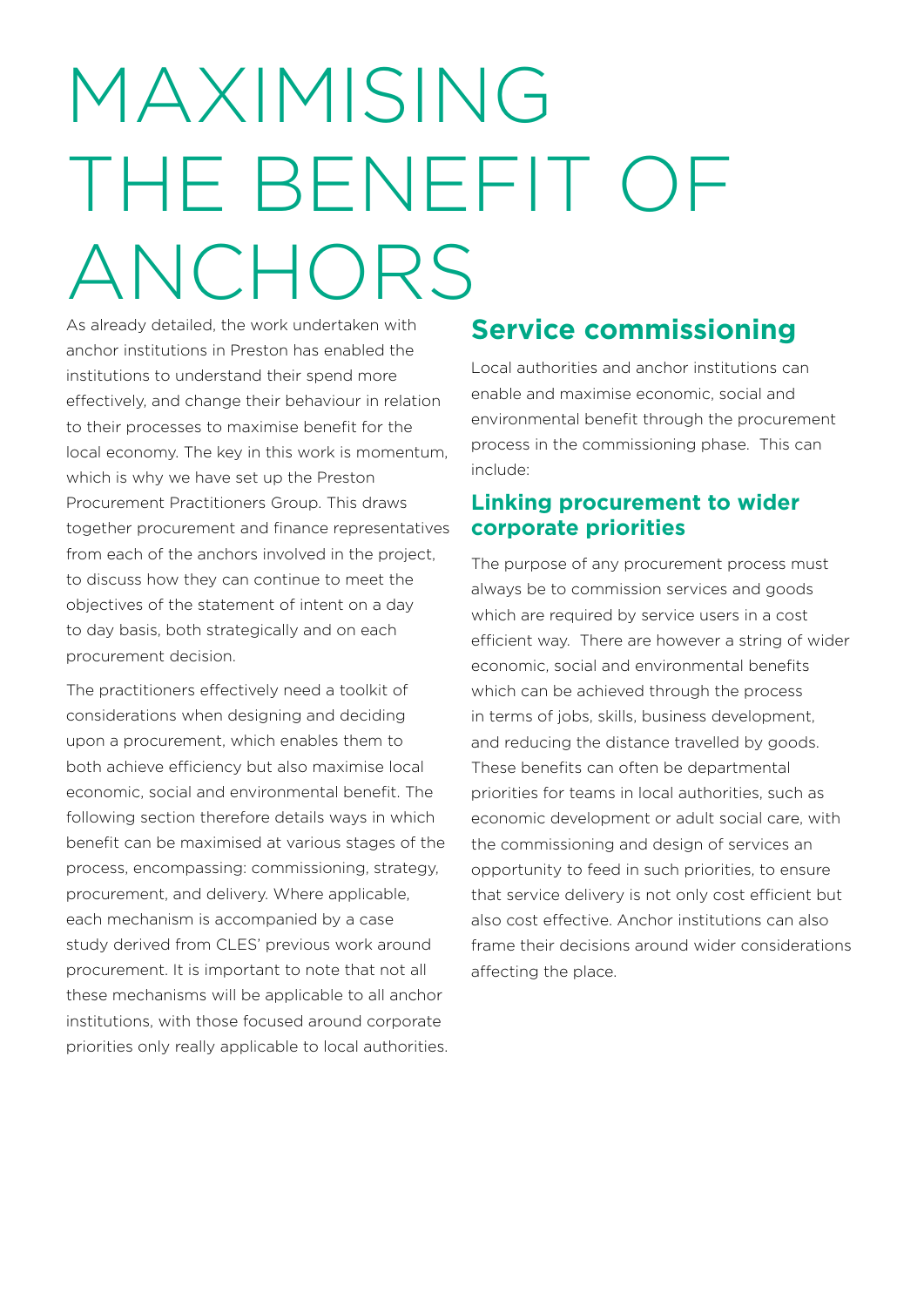# MAXIMISING THE BENEFIT OF ANCHORS

As already detailed, the work undertaken with anchor institutions in Preston has enabled the institutions to understand their spend more effectively, and change their behaviour in relation to their processes to maximise benefit for the local economy. The key in this work is momentum, which is why we have set up the Preston Procurement Practitioners Group. This draws together procurement and finance representatives from each of the anchors involved in the project, to discuss how they can continue to meet the objectives of the statement of intent on a day to day basis, both strategically and on each procurement decision.

The practitioners effectively need a toolkit of considerations when designing and deciding upon a procurement, which enables them to both achieve efficiency but also maximise local economic, social and environmental benefit. The following section therefore details ways in which benefit can be maximised at various stages of the process, encompassing: commissioning, strategy, procurement, and delivery. Where applicable, each mechanism is accompanied by a case study derived from CLES' previous work around procurement. It is important to note that not all these mechanisms will be applicable to all anchor institutions, with those focused around corporate priorities only really applicable to local authorities.

# **Service commissioning**

Local authorities and anchor institutions can enable and maximise economic, social and environmental benefit through the procurement process in the commissioning phase. This can include:

#### **Linking procurement to wider corporate priorities**

The purpose of any procurement process must always be to commission services and goods which are required by service users in a cost efficient way. There are however a string of wider economic, social and environmental benefits which can be achieved through the process in terms of jobs, skills, business development, and reducing the distance travelled by goods. These benefits can often be departmental priorities for teams in local authorities, such as economic development or adult social care, with the commissioning and design of services an opportunity to feed in such priorities, to ensure that service delivery is not only cost efficient but also cost effective. Anchor institutions can also frame their decisions around wider considerations affecting the place.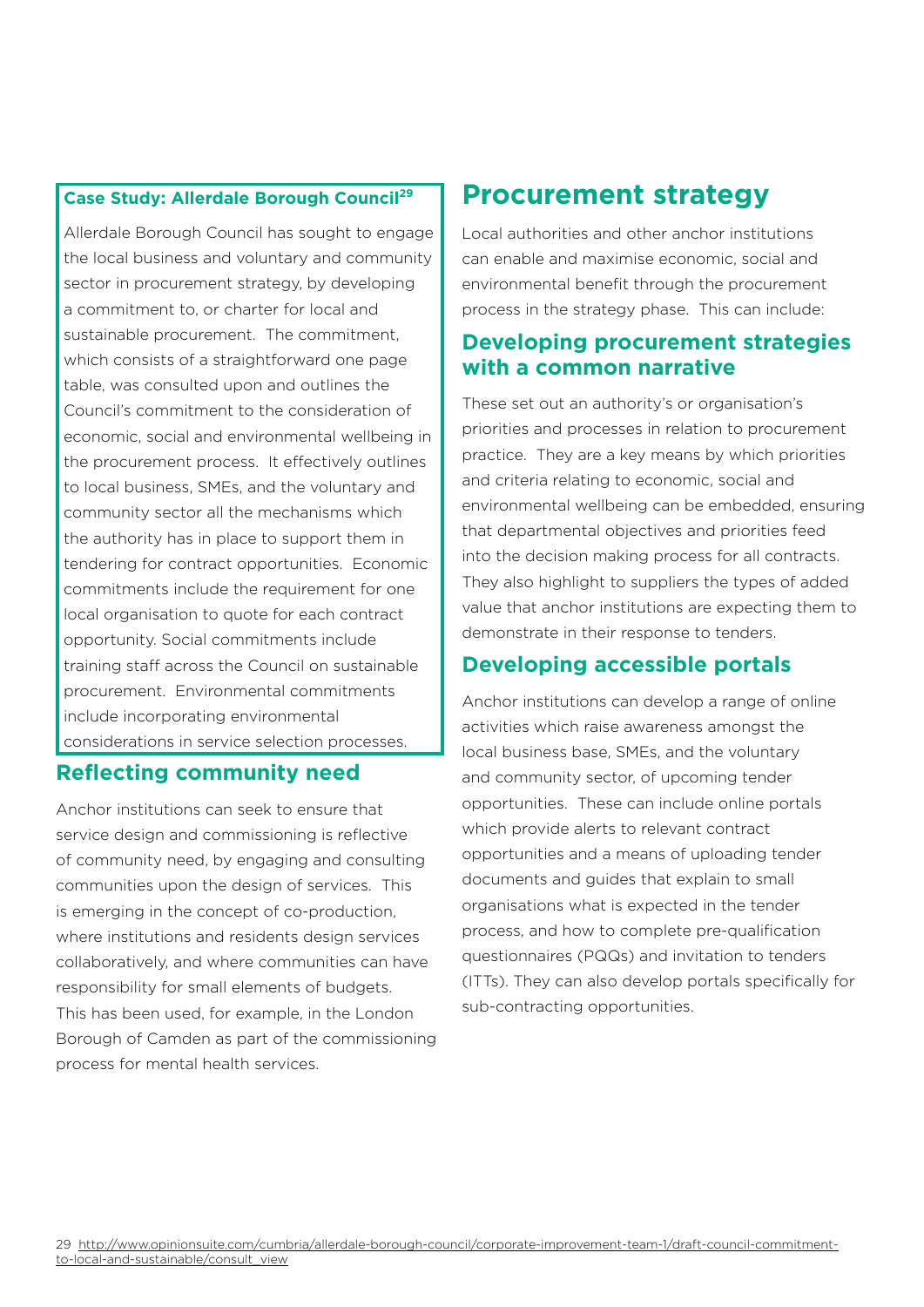#### **Case Study: Allerdale Borough Council29**

Allerdale Borough Council has sought to engage the local business and voluntary and community sector in procurement strategy, by developing a commitment to, or charter for local and sustainable procurement. The commitment, which consists of a straightforward one page table, was consulted upon and outlines the Council's commitment to the consideration of economic, social and environmental wellbeing in the procurement process. It effectively outlines to local business, SMEs, and the voluntary and community sector all the mechanisms which the authority has in place to support them in tendering for contract opportunities. Economic commitments include the requirement for one local organisation to quote for each contract opportunity. Social commitments include training staff across the Council on sustainable procurement. Environmental commitments include incorporating environmental considerations in service selection processes.

#### **Reflecting community need**

Anchor institutions can seek to ensure that service design and commissioning is reflective of community need, by engaging and consulting communities upon the design of services. This is emerging in the concept of co-production, where institutions and residents design services collaboratively, and where communities can have responsibility for small elements of budgets. This has been used, for example, in the London Borough of Camden as part of the commissioning process for mental health services.

# **Procurement strategy**

Local authorities and other anchor institutions can enable and maximise economic, social and environmental benefit through the procurement process in the strategy phase. This can include:

#### **Developing procurement strategies with a common narrative**

These set out an authority's or organisation's priorities and processes in relation to procurement practice. They are a key means by which priorities and criteria relating to economic, social and environmental wellbeing can be embedded, ensuring that departmental objectives and priorities feed into the decision making process for all contracts. They also highlight to suppliers the types of added value that anchor institutions are expecting them to demonstrate in their response to tenders.

#### **Developing accessible portals**

Anchor institutions can develop a range of online activities which raise awareness amongst the local business base, SMEs, and the voluntary and community sector, of upcoming tender opportunities. These can include online portals which provide alerts to relevant contract opportunities and a means of uploading tender documents and guides that explain to small organisations what is expected in the tender process, and how to complete pre-qualification questionnaires (PQQs) and invitation to tenders (ITTs). They can also develop portals specifically for sub-contracting opportunities.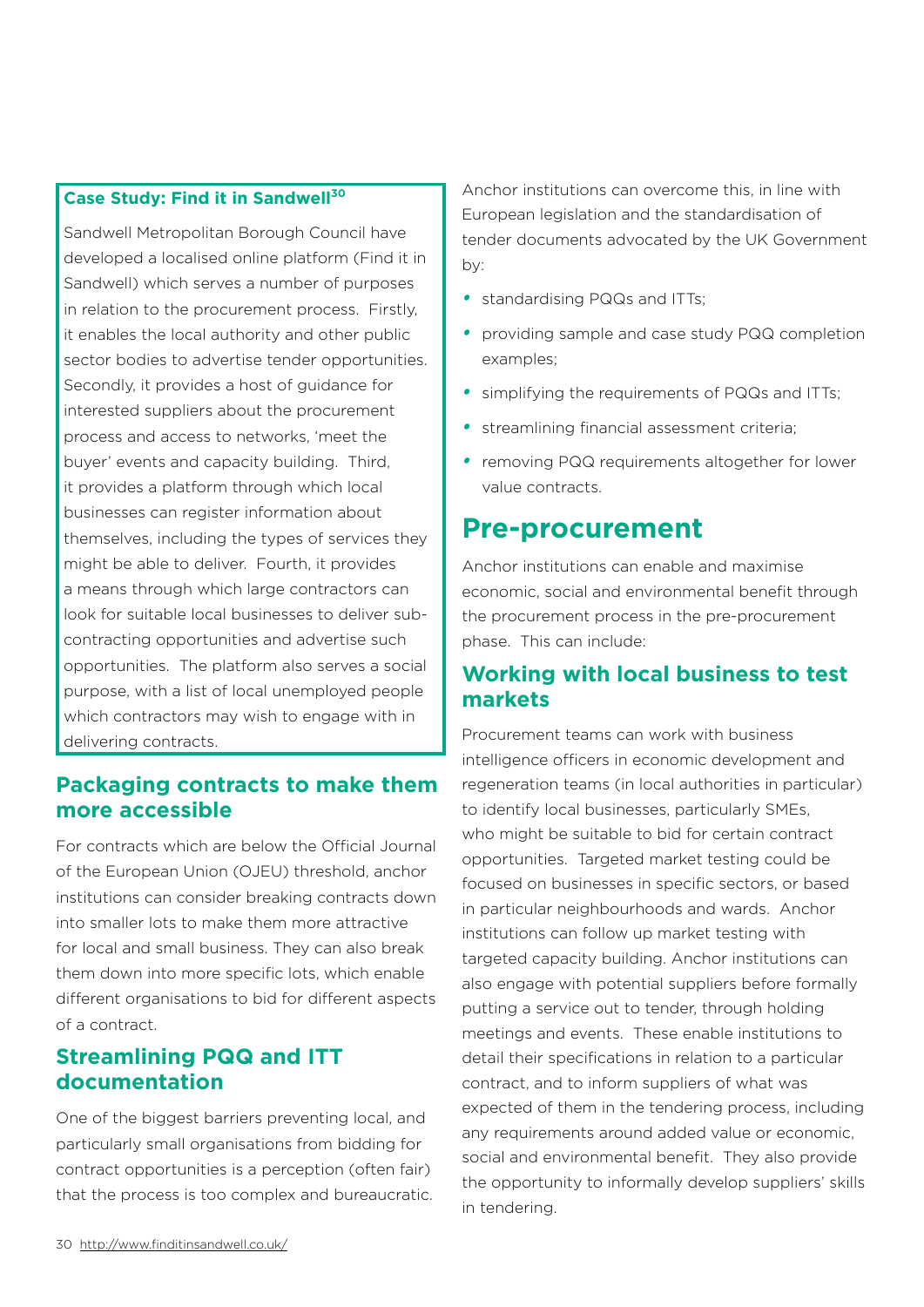#### **Case Study: Find it in Sandwell30**

Sandwell Metropolitan Borough Council have developed a localised online platform (Find it in Sandwell) which serves a number of purposes in relation to the procurement process. Firstly, it enables the local authority and other public sector bodies to advertise tender opportunities. Secondly, it provides a host of guidance for interested suppliers about the procurement process and access to networks, 'meet the buyer' events and capacity building. Third, it provides a platform through which local businesses can register information about themselves, including the types of services they might be able to deliver. Fourth, it provides a means through which large contractors can look for suitable local businesses to deliver subcontracting opportunities and advertise such opportunities. The platform also serves a social purpose, with a list of local unemployed people which contractors may wish to engage with in delivering contracts.

#### **Packaging contracts to make them more accessible**

For contracts which are below the Official Journal of the European Union (OJEU) threshold, anchor institutions can consider breaking contracts down into smaller lots to make them more attractive for local and small business. They can also break them down into more specific lots, which enable different organisations to bid for different aspects of a contract.

#### **Streamlining PQQ and ITT documentation**

One of the biggest barriers preventing local, and particularly small organisations from bidding for contract opportunities is a perception (often fair) that the process is too complex and bureaucratic. Anchor institutions can overcome this, in line with European legislation and the standardisation of tender documents advocated by the UK Government by:

- *•*  standardising PQQs and ITTs;
- *•*  providing sample and case study PQQ completion examples;
- *•*  simplifying the requirements of PQQs and ITTs;
- streamlining financial assessment criteria;
- removing PQQ requirements altogether for lower value contracts.

### **Pre-procurement**

Anchor institutions can enable and maximise economic, social and environmental benefit through the procurement process in the pre-procurement phase. This can include:

#### **Working with local business to test markets**

Procurement teams can work with business intelligence officers in economic development and regeneration teams (in local authorities in particular) to identify local businesses, particularly SMEs, who might be suitable to bid for certain contract opportunities. Targeted market testing could be focused on businesses in specific sectors, or based in particular neighbourhoods and wards. Anchor institutions can follow up market testing with targeted capacity building. Anchor institutions can also engage with potential suppliers before formally putting a service out to tender, through holding meetings and events. These enable institutions to detail their specifications in relation to a particular contract, and to inform suppliers of what was expected of them in the tendering process, including any requirements around added value or economic, social and environmental benefit. They also provide the opportunity to informally develop suppliers' skills in tendering.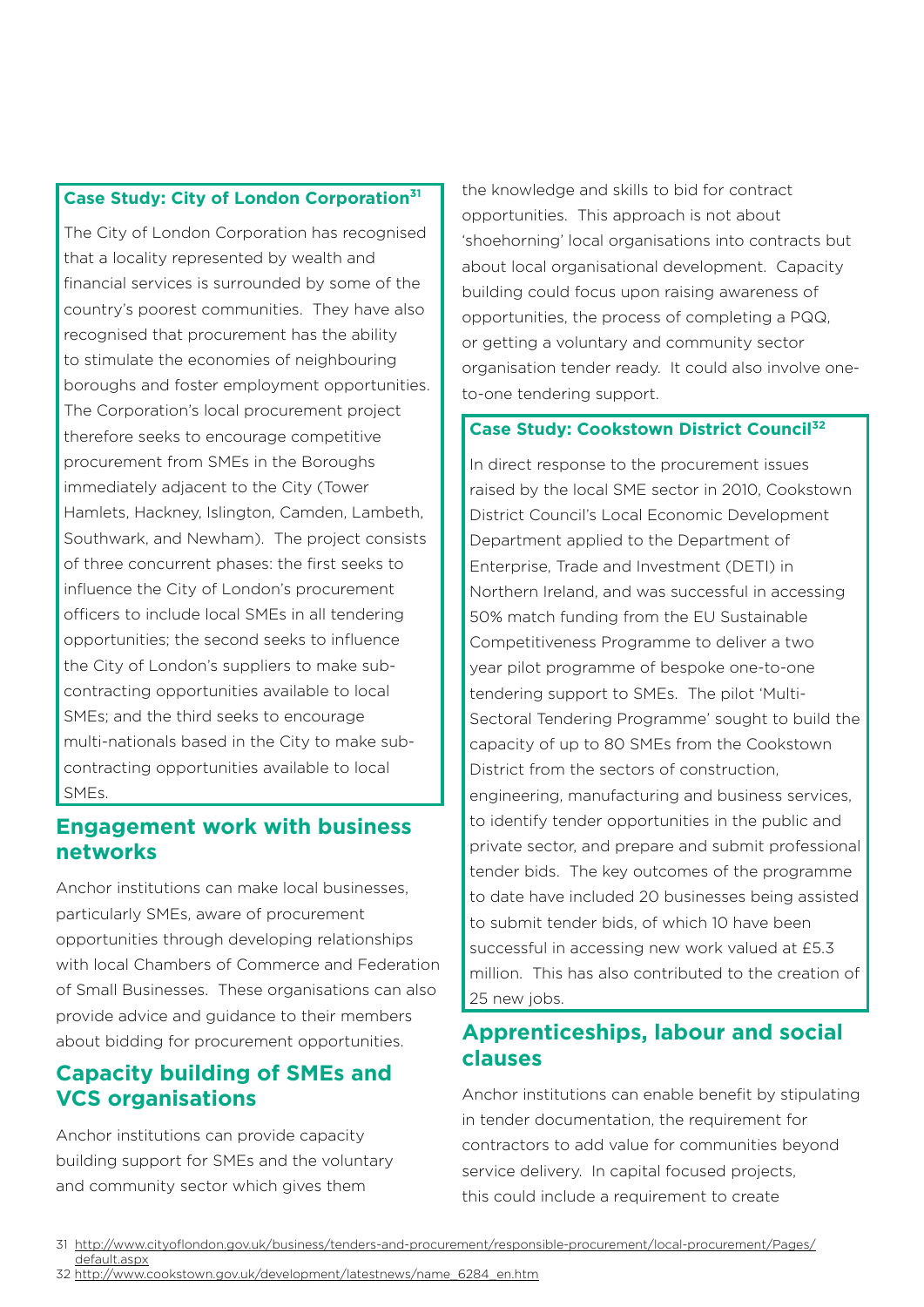#### **Case Study: City of London Corporation31**

The City of London Corporation has recognised that a locality represented by wealth and financial services is surrounded by some of the country's poorest communities. They have also recognised that procurement has the ability to stimulate the economies of neighbouring boroughs and foster employment opportunities. The Corporation's local procurement project therefore seeks to encourage competitive procurement from SMEs in the Boroughs immediately adjacent to the City (Tower Hamlets, Hackney, Islington, Camden, Lambeth, Southwark, and Newham). The project consists of three concurrent phases: the first seeks to influence the City of London's procurement officers to include local SMEs in all tendering opportunities; the second seeks to influence the City of London's suppliers to make subcontracting opportunities available to local SMEs; and the third seeks to encourage multi-nationals based in the City to make subcontracting opportunities available to local SMEs.

#### **Engagement work with business networks**

Anchor institutions can make local businesses, particularly SMEs, aware of procurement opportunities through developing relationships with local Chambers of Commerce and Federation of Small Businesses. These organisations can also provide advice and guidance to their members about bidding for procurement opportunities.

#### **Capacity building of SMEs and VCS organisations**

Anchor institutions can provide capacity building support for SMEs and the voluntary and community sector which gives them

the knowledge and skills to bid for contract opportunities. This approach is not about 'shoehorning' local organisations into contracts but about local organisational development. Capacity building could focus upon raising awareness of opportunities, the process of completing a PQQ, or getting a voluntary and community sector organisation tender ready. It could also involve oneto-one tendering support.

#### **Case Study: Cookstown District Council32**

In direct response to the procurement issues raised by the local SME sector in 2010, Cookstown District Council's Local Economic Development Department applied to the Department of Enterprise, Trade and Investment (DETI) in Northern Ireland, and was successful in accessing 50% match funding from the EU Sustainable Competitiveness Programme to deliver a two year pilot programme of bespoke one-to-one tendering support to SMEs. The pilot 'Multi-Sectoral Tendering Programme' sought to build the capacity of up to 80 SMEs from the Cookstown District from the sectors of construction, engineering, manufacturing and business services, to identify tender opportunities in the public and private sector, and prepare and submit professional tender bids. The key outcomes of the programme to date have included 20 businesses being assisted to submit tender bids, of which 10 have been successful in accessing new work valued at £5.3 million. This has also contributed to the creation of 25 new jobs.

#### **Apprenticeships, labour and social clauses**

Anchor institutions can enable benefit by stipulating in tender documentation, the requirement for contractors to add value for communities beyond service delivery. In capital focused projects, this could include a requirement to create

<sup>31</sup> [http://www.cityoflondon.gov.uk/business/tenders-and-procurement/responsible-procurement/local-procurement/Pages/](http://www.cityoflondon.gov.uk/business/tenders-and-procurement/responsible-procurement/local-procurement/Pages/default.aspx) [default.aspx](http://www.cityoflondon.gov.uk/business/tenders-and-procurement/responsible-procurement/local-procurement/Pages/default.aspx)

<sup>32</sup> [http://www.cookstown.gov.uk/development/latestnews/name\\_6284\\_en.htm](http://www.cookstown.gov.uk/development/latestnews/name_6284_en.htm)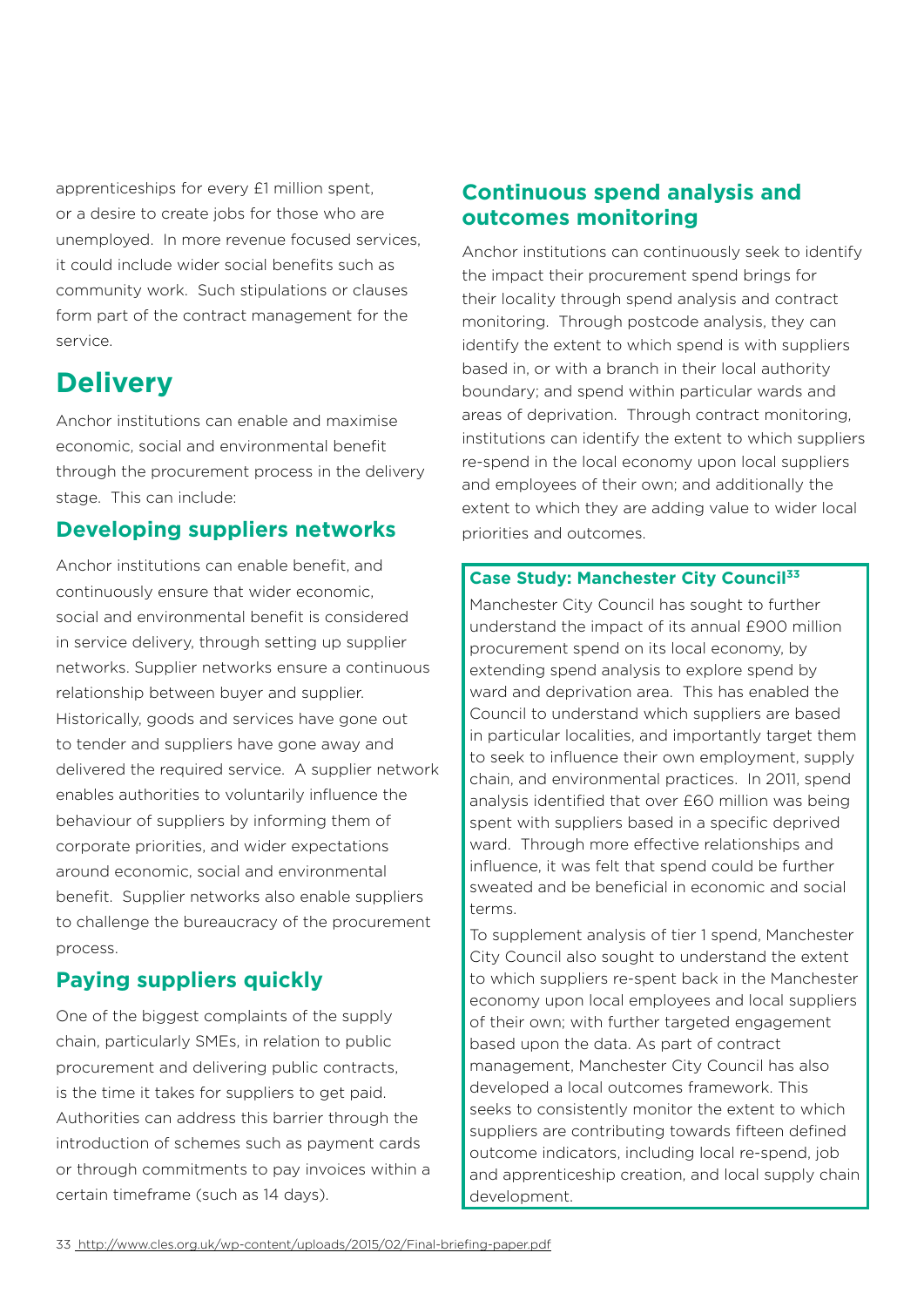apprenticeships for every £1 million spent, or a desire to create jobs for those who are unemployed. In more revenue focused services, it could include wider social benefits such as community work. Such stipulations or clauses form part of the contract management for the service.

# **Delivery**

Anchor institutions can enable and maximise economic, social and environmental benefit through the procurement process in the delivery stage. This can include:

#### **Developing suppliers networks**

Anchor institutions can enable benefit, and continuously ensure that wider economic, social and environmental benefit is considered in service delivery, through setting up supplier networks. Supplier networks ensure a continuous relationship between buyer and supplier. Historically, goods and services have gone out to tender and suppliers have gone away and delivered the required service. A supplier network enables authorities to voluntarily influence the behaviour of suppliers by informing them of corporate priorities, and wider expectations around economic, social and environmental benefit. Supplier networks also enable suppliers to challenge the bureaucracy of the procurement process.

### **Paying suppliers quickly**

One of the biggest complaints of the supply chain, particularly SMEs, in relation to public procurement and delivering public contracts, is the time it takes for suppliers to get paid. Authorities can address this barrier through the introduction of schemes such as payment cards or through commitments to pay invoices within a certain timeframe (such as 14 days).

#### **Continuous spend analysis and outcomes monitoring**

Anchor institutions can continuously seek to identify the impact their procurement spend brings for their locality through spend analysis and contract monitoring. Through postcode analysis, they can identify the extent to which spend is with suppliers based in, or with a branch in their local authority boundary; and spend within particular wards and areas of deprivation. Through contract monitoring, institutions can identify the extent to which suppliers re-spend in the local economy upon local suppliers and employees of their own; and additionally the extent to which they are adding value to wider local priorities and outcomes.

#### **Case Study: Manchester City Council<sup>33</sup>**

Manchester City Council has sought to further understand the impact of its annual £900 million procurement spend on its local economy, by extending spend analysis to explore spend by ward and deprivation area. This has enabled the Council to understand which suppliers are based in particular localities, and importantly target them to seek to influence their own employment, supply chain, and environmental practices. In 2011, spend analysis identified that over £60 million was being spent with suppliers based in a specific deprived ward. Through more effective relationships and influence, it was felt that spend could be further sweated and be beneficial in economic and social terms.

To supplement analysis of tier 1 spend, Manchester City Council also sought to understand the extent to which suppliers re-spent back in the Manchester economy upon local employees and local suppliers of their own; with further targeted engagement based upon the data. As part of contract management, Manchester City Council has also developed a local outcomes framework. This seeks to consistently monitor the extent to which suppliers are contributing towards fifteen defined outcome indicators, including local re-spend, job and apprenticeship creation, and local supply chain development.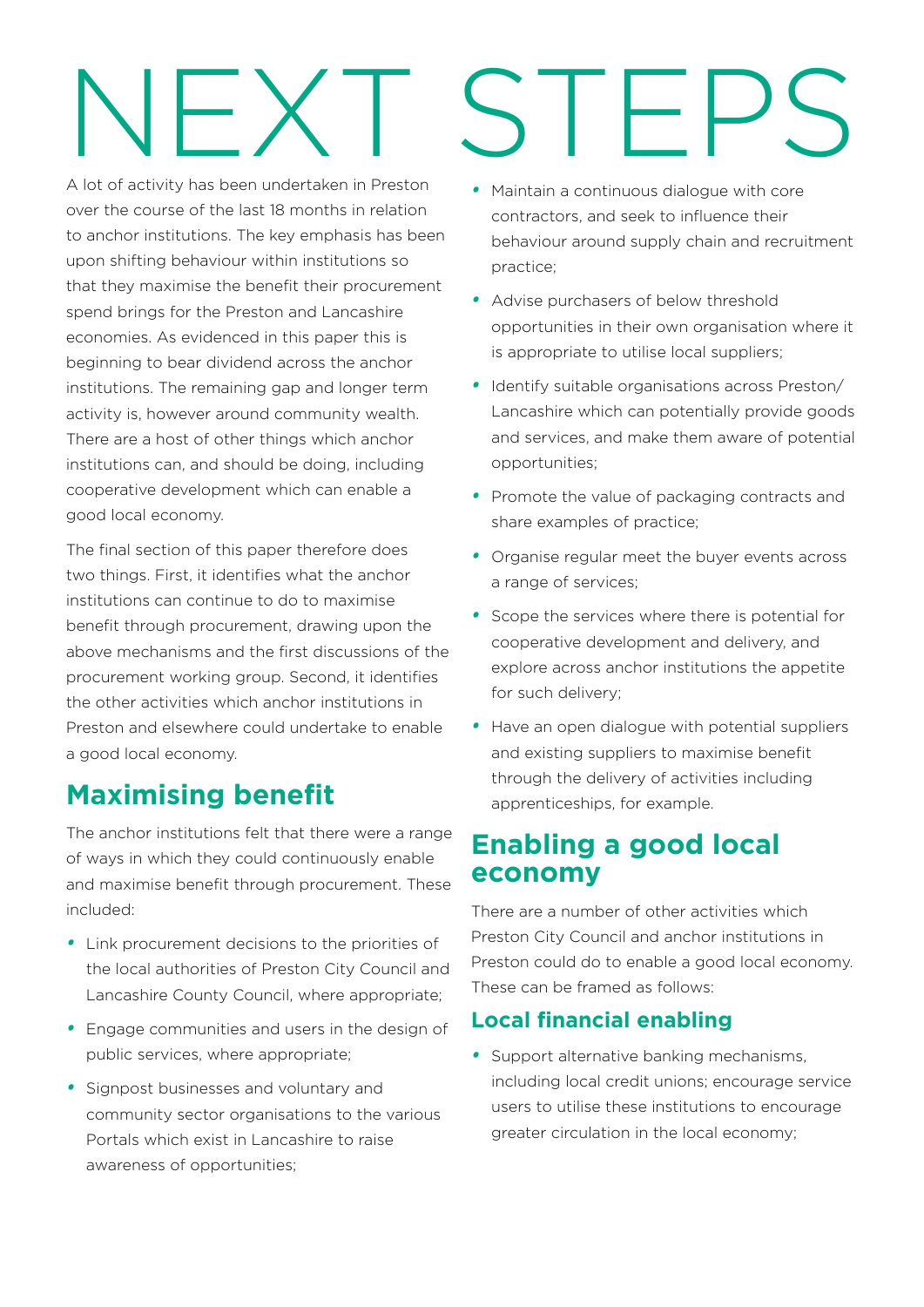# NEXT STEPS

A lot of activity has been undertaken in Preston over the course of the last 18 months in relation to anchor institutions. The key emphasis has been upon shifting behaviour within institutions so that they maximise the benefit their procurement spend brings for the Preston and Lancashire economies. As evidenced in this paper this is beginning to bear dividend across the anchor institutions. The remaining gap and longer term activity is, however around community wealth. There are a host of other things which anchor institutions can, and should be doing, including cooperative development which can enable a good local economy.

The final section of this paper therefore does two things. First, it identifies what the anchor institutions can continue to do to maximise benefit through procurement, drawing upon the above mechanisms and the first discussions of the procurement working group. Second, it identifies the other activities which anchor institutions in Preston and elsewhere could undertake to enable a good local economy.

# **Maximising benefit**

The anchor institutions felt that there were a range of ways in which they could continuously enable and maximise benefit through procurement. These included:

- *•*  Link procurement decisions to the priorities of the local authorities of Preston City Council and Lancashire County Council, where appropriate;
- *•*  Engage communities and users in the design of public services, where appropriate;
- *•*  Signpost businesses and voluntary and community sector organisations to the various Portals which exist in Lancashire to raise awareness of opportunities;
- *•*  Maintain a continuous dialogue with core contractors, and seek to influence their behaviour around supply chain and recruitment practice;
- *•*  Advise purchasers of below threshold opportunities in their own organisation where it is appropriate to utilise local suppliers;
- *•*  Identify suitable organisations across Preston/ Lancashire which can potentially provide goods and services, and make them aware of potential opportunities;
- Promote the value of packaging contracts and share examples of practice;
- *•*  Organise regular meet the buyer events across a range of services;
- *•*  Scope the services where there is potential for cooperative development and delivery, and explore across anchor institutions the appetite for such delivery;
- *•*  Have an open dialogue with potential suppliers and existing suppliers to maximise benefit through the delivery of activities including apprenticeships, for example.

# **Enabling a good local economy**

There are a number of other activities which Preston City Council and anchor institutions in Preston could do to enable a good local economy. These can be framed as follows:

#### **Local financial enabling**

*•*  Support alternative banking mechanisms, including local credit unions; encourage service users to utilise these institutions to encourage greater circulation in the local economy;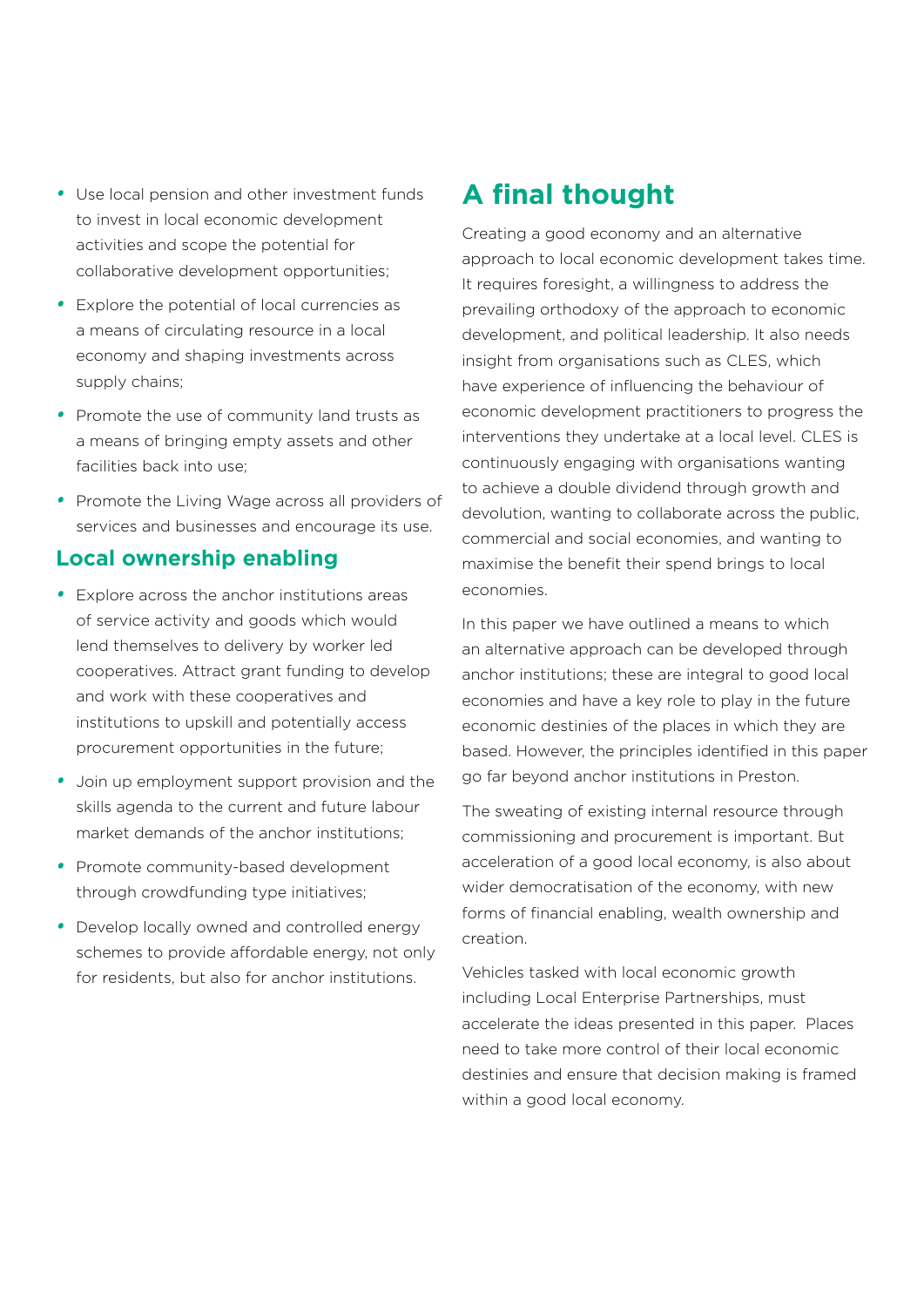- *•*  Use local pension and other investment funds to invest in local economic development activities and scope the potential for collaborative development opportunities;
- *•*  Explore the potential of local currencies as a means of circulating resource in a local economy and shaping investments across supply chains;
- *•*  Promote the use of community land trusts as a means of bringing empty assets and other facilities back into use;
- *•*  Promote the Living Wage across all providers of services and businesses and encourage its use.

#### **Local ownership enabling**

- *•*  Explore across the anchor institutions areas of service activity and goods which would lend themselves to delivery by worker led cooperatives. Attract grant funding to develop and work with these cooperatives and institutions to upskill and potentially access procurement opportunities in the future;
- *•*  Join up employment support provision and the skills agenda to the current and future labour market demands of the anchor institutions;
- *•*  Promote community-based development through crowdfunding type initiatives;
- *•*  Develop locally owned and controlled energy schemes to provide affordable energy, not only for residents, but also for anchor institutions.

# **A final thought**

Creating a good economy and an alternative approach to local economic development takes time. It requires foresight, a willingness to address the prevailing orthodoxy of the approach to economic development, and political leadership. It also needs insight from organisations such as CLES, which have experience of influencing the behaviour of economic development practitioners to progress the interventions they undertake at a local level. CLES is continuously engaging with organisations wanting to achieve a double dividend through growth and devolution, wanting to collaborate across the public, commercial and social economies, and wanting to maximise the benefit their spend brings to local economies.

In this paper we have outlined a means to which an alternative approach can be developed through anchor institutions; these are integral to good local economies and have a key role to play in the future economic destinies of the places in which they are based. However, the principles identified in this paper go far beyond anchor institutions in Preston.

The sweating of existing internal resource through commissioning and procurement is important. But acceleration of a good local economy, is also about wider democratisation of the economy, with new forms of financial enabling, wealth ownership and creation.

Vehicles tasked with local economic growth including Local Enterprise Partnerships, must accelerate the ideas presented in this paper. Places need to take more control of their local economic destinies and ensure that decision making is framed within a good local economy.